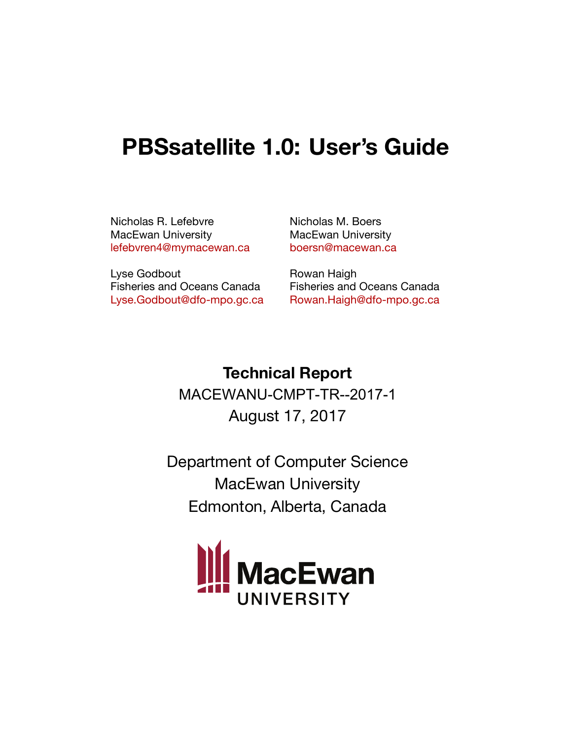# **PBSsatellite 1.0: User's Guide**

Nicholas R. Lefebvre MacEwan University [lefebvren4@mymacewan.ca](mailto:lefebvren4@mymacewan.ca) Nicholas M. Boers MacEwan University [boersn@macewan.ca](mailto:boersn@macewan.ca)

Lyse Godbout Fisheries and Oceans Canada [Lyse.Godbout@dfo-mpo.gc.ca](mailto:Lyse.Godbout@dfo-mpo.gc.ca) Rowan Haigh Fisheries and Oceans Canada [Rowan.Haigh@dfo-mpo.gc.ca](mailto:Rowan.Haigh@dfo-mpo.gc.ca)

**Technical Report** MACEWANU-CMPT-TR--2017-1

August 17, 2017

Department of Computer Science MacEwan University Edmonton, Alberta, Canada

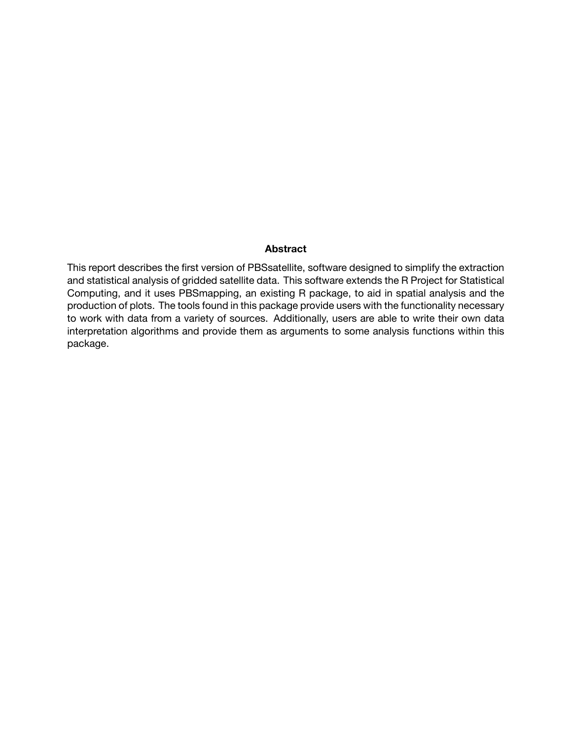#### **Abstract**

This report describes the first version of PBSsatellite, software designed to simplify the extraction and statistical analysis of gridded satellite data. This software extends the R Project for Statistical Computing, and it uses PBSmapping, an existing R package, to aid in spatial analysis and the production of plots. The tools found in this package provide users with the functionality necessary to work with data from a variety of sources. Additionally, users are able to write their own data interpretation algorithms and provide them as arguments to some analysis functions within this package.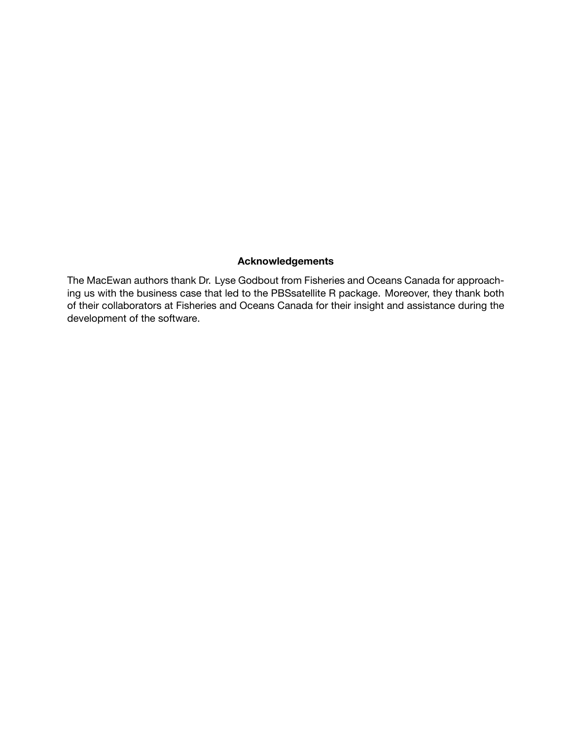#### **Acknowledgements**

The MacEwan authors thank Dr. Lyse Godbout from Fisheries and Oceans Canada for approaching us with the business case that led to the PBSsatellite R package. Moreover, they thank both of their collaborators at Fisheries and Oceans Canada for their insight and assistance during the development of the software.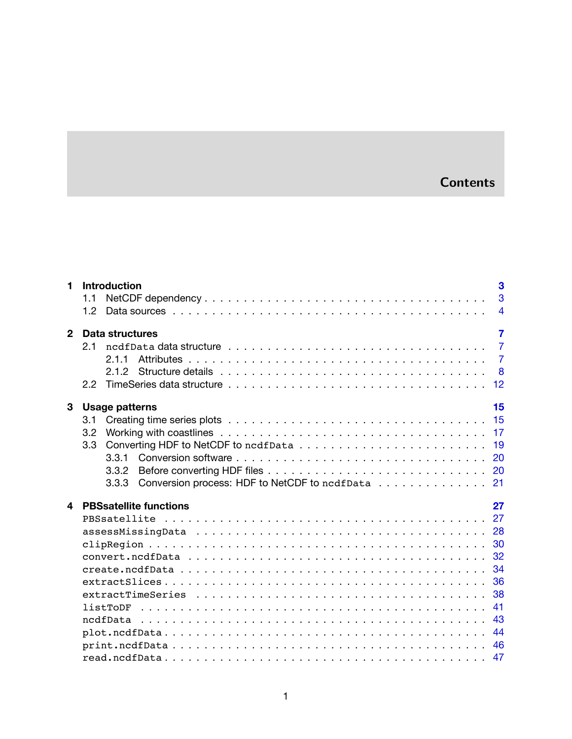# **Contents**

| 1            | 3<br><b>Introduction</b>                                  |
|--------------|-----------------------------------------------------------|
|              | 3<br>1.1                                                  |
|              | 1.2<br>$\overline{4}$                                     |
| $\mathbf{2}$ | $\overline{7}$<br>Data structures                         |
|              | $\overline{7}$<br>2.1                                     |
|              | $\overline{7}$<br>211                                     |
|              | 8                                                         |
|              | 12<br>$2.2^{\circ}$                                       |
| 3            | 15<br><b>Usage patterns</b>                               |
|              | 15<br>3.1                                                 |
|              | 3.2                                                       |
|              | 19<br>3.3 <sub>1</sub>                                    |
|              | 3.3.1                                                     |
|              | 3.3.2                                                     |
|              | Conversion process: HDF to NetCDF to ncdfData 21<br>3.3.3 |
| 4            | 27<br><b>PBSsatellite functions</b>                       |
|              |                                                           |
|              |                                                           |
|              | 30                                                        |
|              | 32                                                        |
|              | 34                                                        |
|              | 36                                                        |
|              | 38                                                        |
|              | 41                                                        |
|              | 43                                                        |
|              | 44                                                        |
|              |                                                           |
|              | 47                                                        |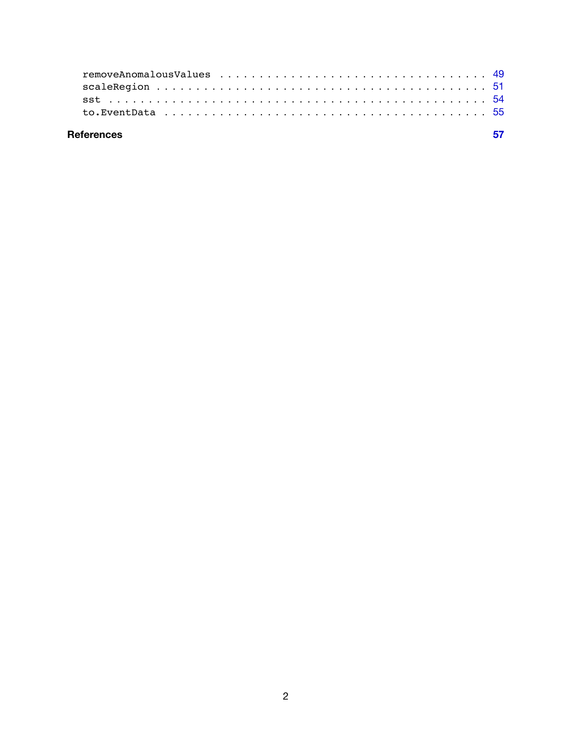| eferences |  |
|-----------|--|
|           |  |
|           |  |
|           |  |
|           |  |

# **References**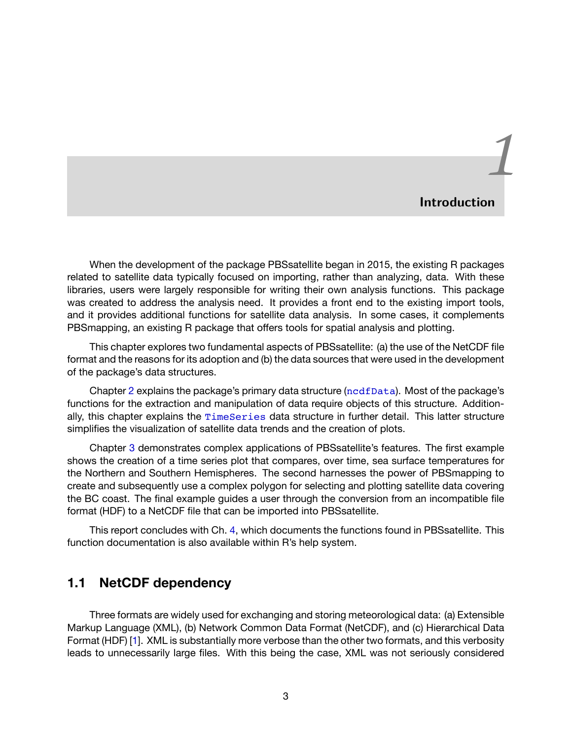# *1* **Introduction**

<span id="page-5-0"></span>When the development of the package PBSsatellite began in 2015, the existing R packages related to satellite data typically focused on importing, rather than analyzing, data. With these libraries, users were largely responsible for writing their own analysis functions. This package was created to address the analysis need. It provides a front end to the existing import tools, and it provides additional functions for satellite data analysis. In some cases, it complements PBSmapping, an existing R package that offers tools for spatial analysis and plotting.

This chapter explores two fundamental aspects of PBSsatellite: (a) the use of the NetCDF file format and the reasons for its adoption and (b) the data sources that were used in the development of the package's data structures.

Chapter [2](#page-9-0) explains the package's primary data structure ([ncdfData](#page-9-1)). Most of the package's functions for the extraction and manipulation of data require objects of this structure. Additionally, this chapter explains the [TimeSeries](#page-14-0) data structure in further detail. This latter structure simplifies the visualization of satellite data trends and the creation of plots.

Chapter [3](#page-17-0) demonstrates complex applications of PBSsatellite's features. The first example shows the creation of a time series plot that compares, over time, sea surface temperatures for the Northern and Southern Hemispheres. The second harnesses the power of PBSmapping to create and subsequently use a complex polygon for selecting and plotting satellite data covering the BC coast. The final example guides a user through the conversion from an incompatible file format (HDF) to a NetCDF file that can be imported into PBSsatellite.

This report concludes with Ch. [4](#page-29-0), which documents the functions found in PBSsatellite. This function documentation is also available within R's help system.

# <span id="page-5-1"></span>**1.1 NetCDF dependency**

Three formats are widely used for exchanging and storing meteorological data: (a) Extensible Markup Language (XML), (b) Network Common Data Format (NetCDF), and (c) Hierarchical Data Format (HDF)[[1\]](#page-59-1). XML is substantially more verbose than the other two formats, and this verbosity leads to unnecessarily large files. With this being the case, XML was not seriously considered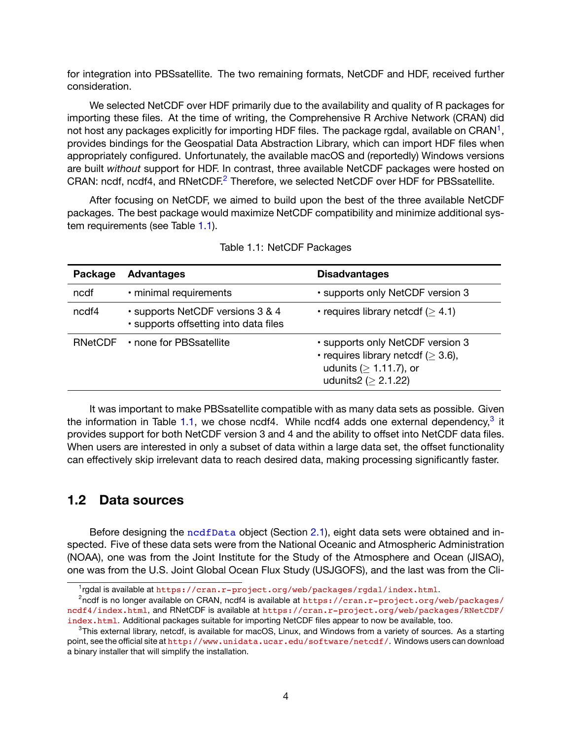for integration into PBSsatellite. The two remaining formats, NetCDF and HDF, received further consideration.

We selected NetCDF over HDF primarily due to the availability and quality of R packages for importing these files. At the time of writing, the Comprehensive R Archive Network (CRAN) did not host any packages explicitly for importing HDF files. The package rgdal, available on CRAN<sup>1</sup>, provides bindings for the Geospatial Data Abstraction Library, which can import HDF files when appropriately configured. Unfortunately, the available macOS and (reportedly) Windows versions are built *without* support for HDF. In contrast, three available NetCDF packages were hosted on CRAN: ncdf, ncdf4, and RNetCDF.2 Therefore, we selected NetCDF over HDF for PBSsatellite.

After focusing on NetCDF, we aimed to build upon the best of the three available NetCDF packages. The best package would maximize NetCDF compatibility and minimize additional system requirements (see Table [1.1](#page-6-1)).

<span id="page-6-1"></span>

| Package | <b>Advantages</b>                                                         | <b>Disadvantages</b>                                                                                                                       |
|---------|---------------------------------------------------------------------------|--------------------------------------------------------------------------------------------------------------------------------------------|
| ncdf    | · minimal requirements                                                    | • supports only NetCDF version 3                                                                                                           |
| ncdf4   | • supports NetCDF versions 3 & 4<br>· supports offsetting into data files | • requires library netcdf ( $\geq 4.1$ )                                                                                                   |
| RNetCDF | • none for PBSsatellite                                                   | • supports only NetCDF version 3<br>• requires library netcdf ( $\geq$ 3.6),<br>udunits ( $\geq 1.11.7$ ), or<br>udunits2 ( $\geq$ 2.1.22) |

Table 1.1: NetCDF Packages

It was important to make PBSsatellite compatible with as many data sets as possible. Given the information in Table [1.1](#page-6-1), we chose ncdf4. While ncdf4 adds one external dependency,<sup>3</sup> it provides support for both NetCDF version 3 and 4 and the ability to offset into NetCDF data files. When users are interested in only a subset of data within a large data set, the offset functionality can effectively skip irrelevant data to reach desired data, making processing significantly faster.

# <span id="page-6-0"></span>**1.2 Data sources**

Before designing the [ncdfData](#page-45-1) object (Section [2.1\)](#page-9-1), eight data sets were obtained and inspected. Five of these data sets were from the National Oceanic and Atmospheric Administration (NOAA), one was from the Joint Institute for the Study of the Atmosphere and Ocean (JISAO), one was from the U.S. Joint Global Ocean Flux Study (USJGOFS), and the last was from the Cli-

<sup>&</sup>lt;sup>1</sup>rgdal is available at <https://cran.r-project.org/web/packages/rgdal/index.html>.

 $^2$ ncdf is no longer available on CRAN, ncdf4 is available at [https://cran.r-project.org/web/packages/](https://cran.r-project.org/web/packages/ncdf4/index.html) [ncdf4/index.html](https://cran.r-project.org/web/packages/ncdf4/index.html), and RNetCDF is available at [https://cran.r-project.org/web/packages/RNetCDF/](https://cran.r-project.org/web/packages/RNetCDF/index.html) [index.html](https://cran.r-project.org/web/packages/RNetCDF/index.html). Additional packages suitable for importing NetCDF files appear to now be available, too.

<sup>&</sup>lt;sup>3</sup>This external library, netcdf, is available for macOS, Linux, and Windows from a variety of sources. As a starting point, see the official site at <http://www.unidata.ucar.edu/software/netcdf/>. Windows users can download a binary installer that will simplify the installation.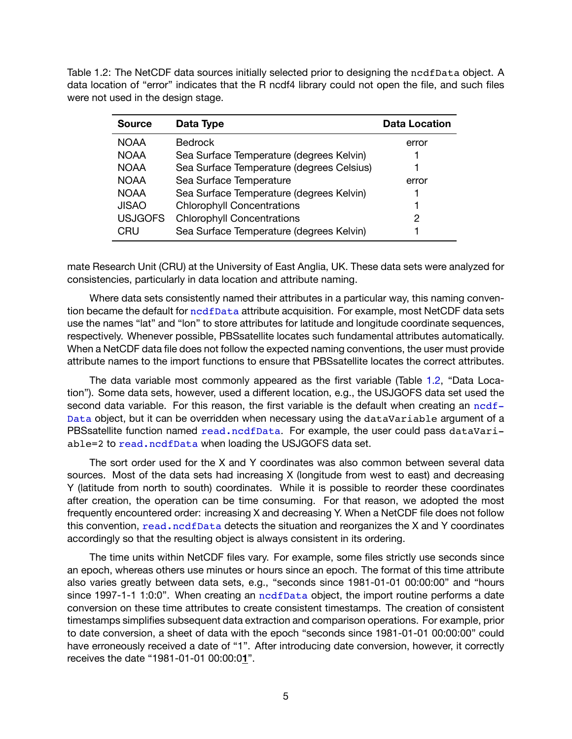<span id="page-7-0"></span>Table 1.2: The NetCDF data sources initially selected prior to designing the ncdfData object. A data location of "error" indicates that the R ncdf4 library could not open the file, and such files were not used in the design stage.

| <b>Source</b>  | Data Type                                 | <b>Data Location</b> |
|----------------|-------------------------------------------|----------------------|
| <b>NOAA</b>    | <b>Bedrock</b>                            | error                |
| <b>NOAA</b>    | Sea Surface Temperature (degrees Kelvin)  |                      |
| <b>NOAA</b>    | Sea Surface Temperature (degrees Celsius) |                      |
| <b>NOAA</b>    | Sea Surface Temperature                   | error                |
| <b>NOAA</b>    | Sea Surface Temperature (degrees Kelvin)  |                      |
| <b>JISAO</b>   | <b>Chlorophyll Concentrations</b>         |                      |
| <b>USJGOFS</b> | <b>Chlorophyll Concentrations</b>         | 2                    |
| CRU            | Sea Surface Temperature (degrees Kelvin)  |                      |

mate Research Unit (CRU) at the University of East Anglia, UK. These data sets were analyzed for consistencies, particularly in data location and attribute naming.

Where data sets consistently named their attributes in a particular way, this naming convention became the default for [ncdfData](#page-45-1) attribute acquisition. For example, most NetCDF data sets use the names "lat" and "lon" to store attributes for latitude and longitude coordinate sequences, respectively. Whenever possible, PBSsatellite locates such fundamental attributes automatically. When a NetCDF data file does not follow the expected naming conventions, the user must provide attribute names to the import functions to ensure that PBSsatellite locates the correct attributes.

The data variable most commonly appeared as the first variable (Table [1.2,](#page-7-0) "Data Location"). Some data sets, however, used a different location, e.g., the USJGOFS data set used the second data variable. For this reason, the first variable is the default when creating an [ncdf-](#page-45-1)[Data](#page-45-1) object, but it can be overridden when necessary using the dataVariable argument of a PBSsatellite function named [read.ncdfData](#page-49-1). For example, the user could pass dataVariable=2 to [read.ncdfData](#page-49-1) when loading the USJGOFS data set.

The sort order used for the X and Y coordinates was also common between several data sources. Most of the data sets had increasing X (longitude from west to east) and decreasing Y (latitude from north to south) coordinates. While it is possible to reorder these coordinates after creation, the operation can be time consuming. For that reason, we adopted the most frequently encountered order: increasing X and decreasing Y. When a NetCDF file does not follow this convention, [read.ncdfData](#page-49-1) detects the situation and reorganizes the X and Y coordinates accordingly so that the resulting object is always consistent in its ordering.

The time units within NetCDF files vary. For example, some files strictly use seconds since an epoch, whereas others use minutes or hours since an epoch. The format of this time attribute also varies greatly between data sets, e.g., "seconds since 1981-01-01 00:00:00" and "hours since 1997-1-1 1:0:0". When creating an [ncdfData](#page-45-1) object, the import routine performs a date conversion on these time attributes to create consistent timestamps. The creation of consistent timestamps simplifies subsequent data extraction and comparison operations. For example, prior to date conversion, a sheet of data with the epoch "seconds since 1981-01-01 00:00:00" could have erroneously received a date of "1". After introducing date conversion, however, it correctly receives the date "1981-01-01 00:00:0**1**".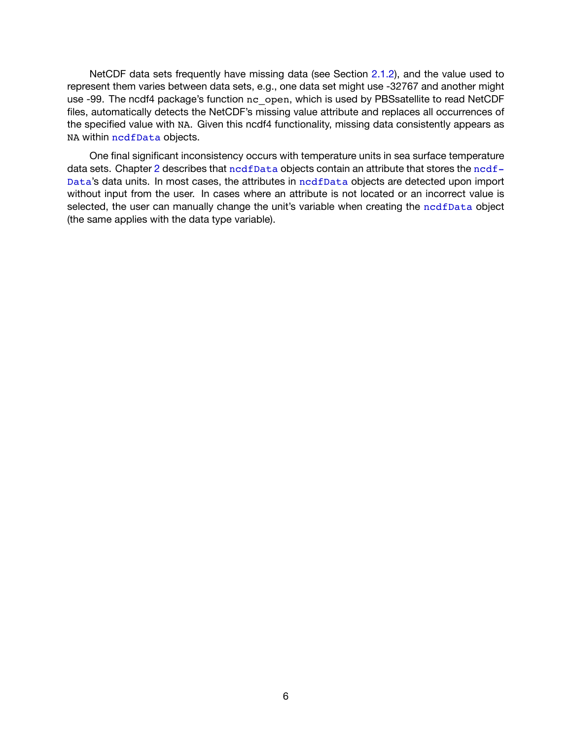NetCDF data sets frequently have missing data (see Section [2.1.2](#page-11-0)), and the value used to represent them varies between data sets, e.g., one data set might use -32767 and another might use -99. The ncdf4 package's function nc open, which is used by PBSsatellite to read NetCDF files, automatically detects the NetCDF's missing value attribute and replaces all occurrences of the specified value with NA. Given this ncdf4 functionality, missing data consistently appears as NA within [ncdfData](#page-45-1) objects.

One final significant inconsistency occurs with temperature units in sea surface temperature data sets. Chapter [2](#page-9-0) describes that [ncdfData](#page-45-1) objects contain an attribute that stores the [ncdf-](#page-45-1)[Data](#page-45-1)'s data units. In most cases, the attributes in [ncdfData](#page-45-1) objects are detected upon import without input from the user. In cases where an attribute is not located or an incorrect value is selected, the user can manually change the unit's variable when creating the [ncdfData](#page-45-1) object (the same applies with the data type variable).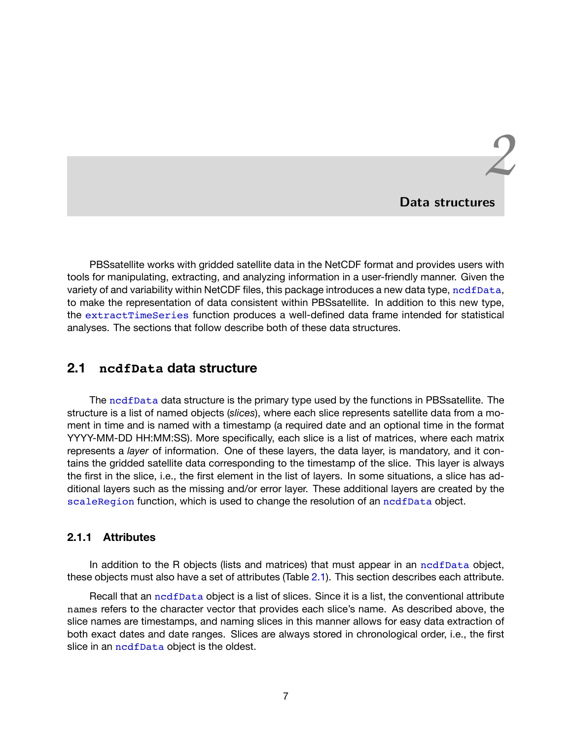# *2* **Data structures**

<span id="page-9-0"></span>PBSsatellite works with gridded satellite data in the NetCDF format and provides users with tools for manipulating, extracting, and analyzing information in a user-friendly manner. Given the variety of and variability within NetCDF files, this package introduces a new data type, [ncdfData](#page-45-1), to make the representation of data consistent within PBSsatellite. In addition to this new type, the [extractTimeSeries](#page-40-1) function produces a well-defined data frame intended for statistical analyses. The sections that follow describe both of these data structures.

# <span id="page-9-1"></span>**2.1 ncdfData data structure**

The [ncdfData](#page-45-1) data structure is the primary type used by the functions in PBSsatellite. The structure is a list of named objects (*slices*), where each slice represents satellite data from a moment in time and is named with a timestamp (a required date and an optional time in the format YYYY-MM-DD HH:MM:SS). More specifically, each slice is a list of matrices, where each matrix represents a *layer* of information. One of these layers, the data layer, is mandatory, and it contains the gridded satellite data corresponding to the timestamp of the slice. This layer is always the first in the slice, i.e., the first element in the list of layers. In some situations, a slice has additional layers such as the missing and/or error layer. These additional layers are created by the [scaleRegion](#page-53-1) function, which is used to change the resolution of an [ncdfData](#page-45-1) object.

#### <span id="page-9-2"></span>**2.1.1 Attributes**

In addition to the R objects (lists and matrices) that must appear in an nedfData object, these objects must also have a set of attributes (Table [2.1\)](#page-10-1). This section describes each attribute.

Recall that an [ncdfData](#page-45-1) object is a list of slices. Since it is a list, the conventional attribute names refers to the character vector that provides each slice's name. As described above, the slice names are timestamps, and naming slices in this manner allows for easy data extraction of both exact dates and date ranges. Slices are always stored in chronological order, i.e., the first slice in an [ncdfData](#page-45-1) object is the oldest.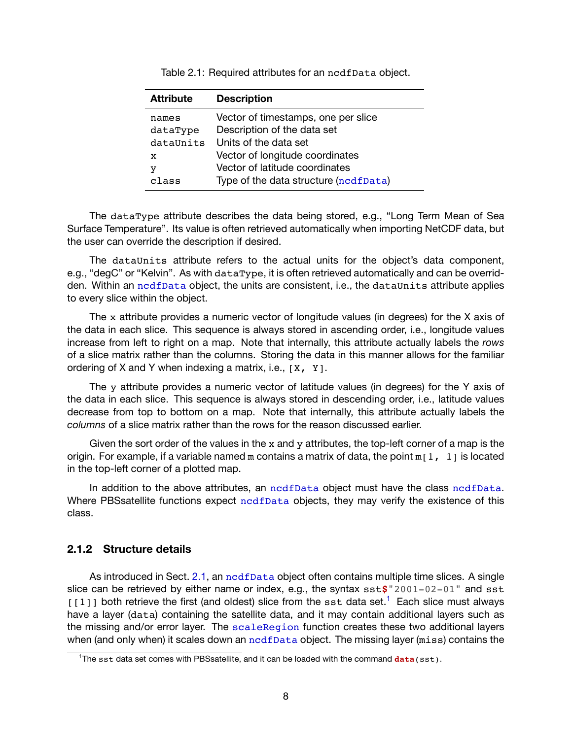<span id="page-10-1"></span>

| <b>Attribute</b> | <b>Description</b>                    |
|------------------|---------------------------------------|
| names            | Vector of timestamps, one per slice   |
| dataType         | Description of the data set           |
| dataUnits        | Units of the data set                 |
| x                | Vector of longitude coordinates       |
| у                | Vector of latitude coordinates        |
| class            | Type of the data structure (ncdfData) |

Table 2.1: Required attributes for an ncdfData object.

The dataType attribute describes the data being stored, e.g., "Long Term Mean of Sea Surface Temperature". Its value is often retrieved automatically when importing NetCDF data, but the user can override the description if desired.

The dataUnits attribute refers to the actual units for the object's data component, e.g., "degC" or "Kelvin". As with dataType, it is often retrieved automatically and can be overridden. Within an nodfData object, the units are consistent, i.e., the dataUnits attribute applies to every slice within the object.

The x attribute provides a numeric vector of longitude values (in degrees) for the X axis of the data in each slice. This sequence is always stored in ascending order, i.e., longitude values increase from left to right on a map. Note that internally, this attribute actually labels the *rows* of a slice matrix rather than the columns. Storing the data in this manner allows for the familiar ordering of X and Y when indexing a matrix, i.e.,  $[X, Y]$ .

The y attribute provides a numeric vector of latitude values (in degrees) for the Y axis of the data in each slice. This sequence is always stored in descending order, i.e., latitude values decrease from top to bottom on a map. Note that internally, this attribute actually labels the *columns* of a slice matrix rather than the rows for the reason discussed earlier.

Given the sort order of the values in the  $x$  and  $y$  attributes, the top-left corner of a map is the origin. For example, if a variable named m contains a matrix of data, the point  $m[1, 1]$  is located in the top-left corner of a plotted map.

In addition to the above attributes, an nedfData object must have the class nedfData. Where PBSsatellite functions expect [ncdfData](#page-45-1) objects, they may verify the existence of this class.

#### <span id="page-10-0"></span>**2.1.2 Structure details**

As introduced in Sect. [2.1](#page-9-1), an [ncdfData](#page-45-1) object often contains multiple time slices. A single slice can be retrieved by either name or index, e.g., the syntax sst**\$**"2001-02-01" and sst  $[11]$  both retrieve the first (and oldest) slice from the sst data set.<sup>1</sup> Each slice must always have a layer (data) containing the satellite data, and it may contain additional layers such as the missing and/or error layer. The [scaleRegion](#page-53-1) function creates these two additional layers when (and only when) it scales down an nodfData object. The missing layer (miss) contains the

<sup>&</sup>lt;sup>1</sup>The sst data set comes with PBSsatellite, and it can be loaded with the command **data**(sst).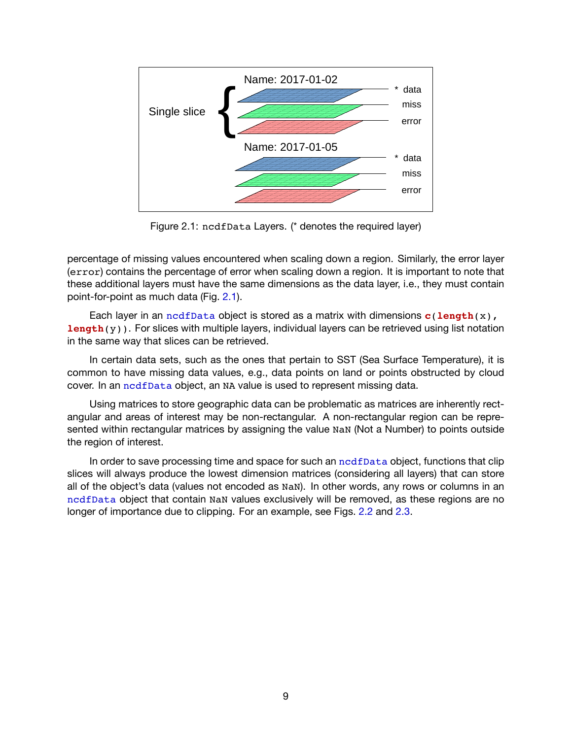<span id="page-11-0"></span>

Figure 2.1: ncdfData Layers. (\* denotes the required layer)

percentage of missing values encountered when scaling down a region. Similarly, the error layer (error) contains the percentage of error when scaling down a region. It is important to note that these additional layers must have the same dimensions as the data layer, i.e., they must contain point-for-point as much data (Fig. [2.1\)](#page-11-0).

Each layer in an [ncdfData](#page-45-1) object is stored as a matrix with dimensions **c**(**length**(x), **length**(y)). For slices with multiple layers, individual layers can be retrieved using list notation in the same way that slices can be retrieved.

In certain data sets, such as the ones that pertain to SST (Sea Surface Temperature), it is common to have missing data values, e.g., data points on land or points obstructed by cloud cover. In an [ncdfData](#page-45-1) object, an NA value is used to represent missing data.

Using matrices to store geographic data can be problematic as matrices are inherently rectangular and areas of interest may be non-rectangular. A non-rectangular region can be represented within rectangular matrices by assigning the value NaN (Not a Number) to points outside the region of interest.

In order to save processing time and space for such an [ncdfData](#page-45-1) object, functions that clip slices will always produce the lowest dimension matrices (considering all layers) that can store all of the object's data (values not encoded as NaN). In other words, any rows or columns in an [ncdfData](#page-45-1) object that contain NaN values exclusively will be removed, as these regions are no longer of importance due to clipping. For an example, see Figs. [2.2](#page-12-0) and [2.3.](#page-13-0)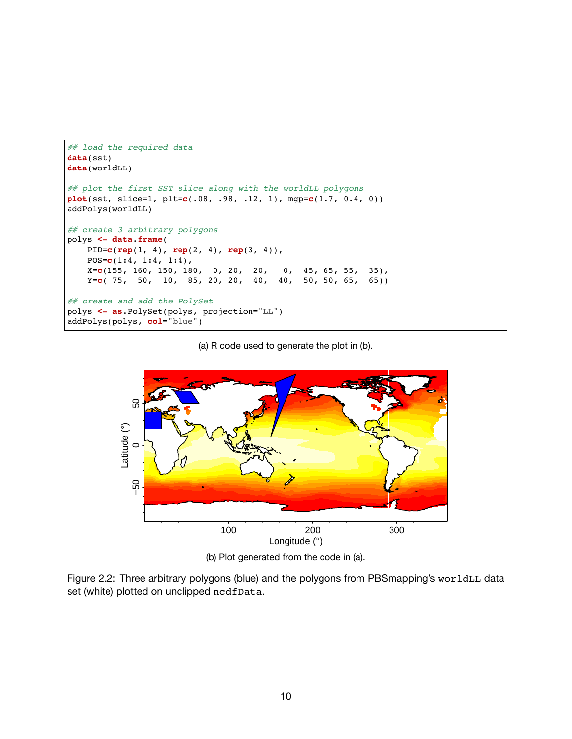```
## load the required data
data(sst)
data(worldLL)
## plot the first SST slice along with the worldLL polygons
plot(sst, slice=1, plt=c(.08, .98, .12, 1), mgp=c(1.7, 0.4, 0))
addPolys(worldLL)
## create 3 arbitrary polygons
polys <- data.frame(
   PID=c(rep(1, 4), rep(2, 4), rep(3, 4)),
   POS=c(1:4, 1:4, 1:4),
    X=c(155, 160, 150, 180, 0, 20, 20, 0, 45, 65, 55, 35),
    Y=c( 75, 50, 10, 85, 20, 20, 40, 40, 50, 50, 65, 65))
## create and add the PolySet
polys <- as.PolySet(polys, projection="LL")
addPolys(polys, col="blue")
```
(a) R code used to generate the plot in (b).



(b) Plot generated from the code in (a).

Figure 2.2: Three arbitrary polygons (blue) and the polygons from PBSmapping's worldLL data set (white) plotted on unclipped ncdfData.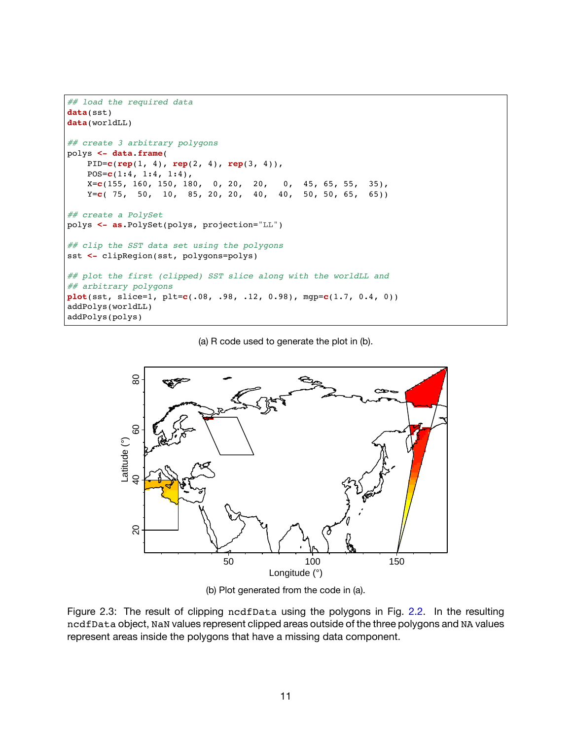```
## load the required data
data(sst)
data(worldLL)
## create 3 arbitrary polygons
polys <- data.frame(
   PID=c(rep(1, 4), rep(2, 4), rep(3, 4)),
   POS=c(1:4, 1:4, 1:4),
    X=c(155, 160, 150, 180, 0, 20, 20, 0, 45, 65, 55, 35),
    Y=c( 75, 50, 10, 85, 20, 20, 40, 40, 50, 50, 65, 65))
## create a PolySet
polys <- as.PolySet(polys, projection="LL")
## clip the SST data set using the polygons
sst <- clipRegion(sst, polygons=polys)
## plot the first (clipped) SST slice along with the worldLL and
## arbitrary polygons
plot(sst, slice=1, plt=c(.08, .98, .12, 0.98), mgp=c(1.7, 0.4, 0))
addPolys(worldLL)
addPolys(polys)
```
(a) R code used to generate the plot in (b).



(b) Plot generated from the code in (a).

Figure 2.3: The result of clipping ncdfData using the polygons in Fig. [2.2.](#page-12-0) In the resulting ncdfData object, NaN values represent clipped areas outside of the three polygons and NA values represent areas inside the polygons that have a missing data component.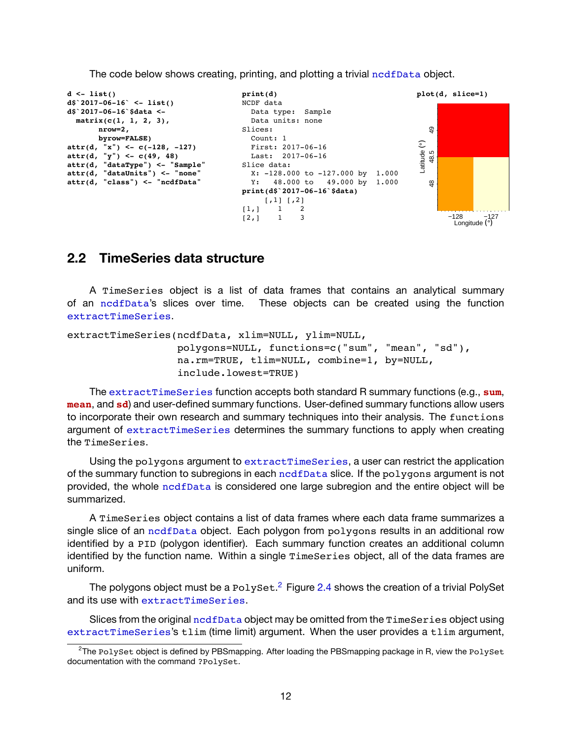

The code below shows creating, printing, and plotting a trivial [ncdfData](#page-45-1) object.

# <span id="page-14-0"></span>**2.2 TimeSeries data structure**

A TimeSeries object is a list of data frames that contains an analytical summary of an [ncdfData](#page-45-1)'s slices over time. These objects can be created using the function [extractTimeSeries](#page-40-1).

```
extractTimeSeries(ncdfData, xlim=NULL, ylim=NULL,
                  polygons=NULL, functions=c("sum", "mean", "sd"),
                  na.rm=TRUE, tlim=NULL, combine=1, by=NULL,
                  include.lowest=TRUE)
```
The [extractTimeSeries](#page-40-1) function accepts both standard R summary functions (e.g., **sum**, **mean**, and **sd**) and user-defined summary functions. User-defined summary functions allow users to incorporate their own research and summary techniques into their analysis. The functions argument of [extractTimeSeries](#page-40-1) determines the summary functions to apply when creating the TimeSeries.

Using the polygons argument to [extractTimeSeries](#page-40-1), a user can restrict the application of the summary function to subregions in each [ncdfData](#page-45-1) slice. If the polygons argument is not provided, the whole [ncdfData](#page-45-1) is considered one large subregion and the entire object will be summarized.

A TimeSeries object contains a list of data frames where each data frame summarizes a single slice of an [ncdfData](#page-45-1) object. Each polygon from polygons results in an additional row identified by a PID (polygon identifier). Each summary function creates an additional column identified by the function name. Within a single TimeSeries object, all of the data frames are uniform.

The polygons object must be a  $\text{PolySet}.^2$  Figure [2.4](#page-15-0) shows the creation of a trivial PolySet and its use with [extractTimeSeries](#page-40-1).

Slices from the original [ncdfData](#page-45-1) object may be omitted from the TimeSeries object using [extractTimeSeries](#page-40-1)'s tlim (time limit) argument. When the user provides a tlim argument,

<sup>&</sup>lt;sup>2</sup>The PolySet object is defined by PBSmapping. After loading the PBSmapping package in R, view the PolySet documentation with the command ?PolySet.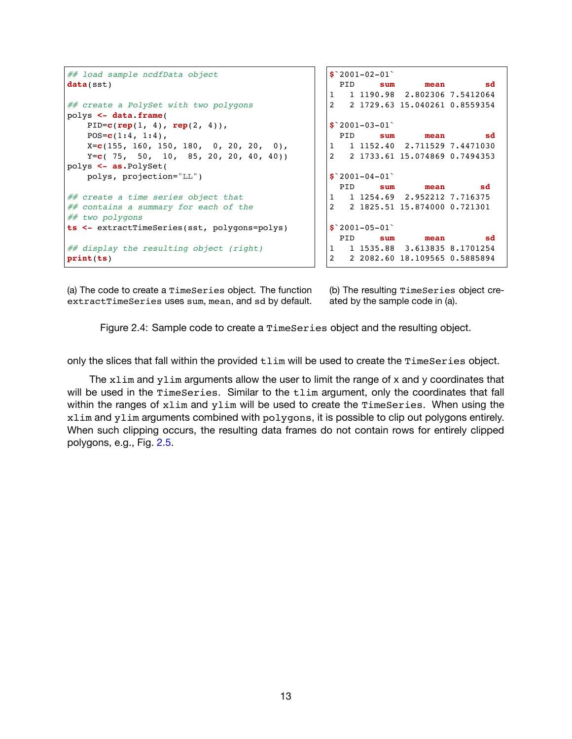```
## load sample ncdfData object
data(sst)
## create a PolySet with two polygons
polys <- data.frame(
   PID=c(rep(1, 4), rep(2, 4)),
   POS=c(1:4, 1:4),
   X=c(155, 160, 150, 180, 0, 20, 20, 0),
   Y=c( 75, 50, 10, 85, 20, 20, 40, 40))
polys <- as.PolySet(
   polys, projection="LL")
## create a time series object that
## contains a summary for each of the
## two polygons
ts <- extractTimeSeries(sst, polygons=polys)
## display the resulting object (right)
print(ts)
                                                $`2001-02-01`
                                                 PID sum mean sd
                                                1 1 1190.98 2.802306 7.5412064
                                                2 2 1729.63 15.040261 0.8559354
                                                $`2001-03-01`
                                                 PID sum mean sd
                                                1 1 1152.40 2.711529 7.4471030
                                                2 2 1733.61 15.074869 0.7494353
                                                $`2001-04-01`
                                                 PID sum mean sd
                                                   1 1 1254.69 2.952212 7.716375
                                                2 2 1825.51 15.874000 0.721301
                                                $`2001-05-01`
                                                 PID sum mean sd
                                                1 1 1535.88 3.613835 8.1701254
                                                2 2 2082.60 18.109565 0.5885894
```
(a) The code to create a TimeSeries object. The function extractTimeSeries uses sum, mean, and sd by default. (b) The resulting TimeSeries object created by the sample code in (a).

Figure 2.4: Sample code to create a TimeSeries object and the resulting object.

only the slices that fall within the provided tlim will be used to create the TimeSeries object.

The xlim and ylim arguments allow the user to limit the range of x and y coordinates that will be used in the TimeSeries. Similar to the tlim argument, only the coordinates that fall within the ranges of xlim and ylim will be used to create the TimeSeries. When using the xlim and ylim arguments combined with polygons, it is possible to clip out polygons entirely. When such clipping occurs, the resulting data frames do not contain rows for entirely clipped polygons, e.g., Fig. [2.5](#page-16-0).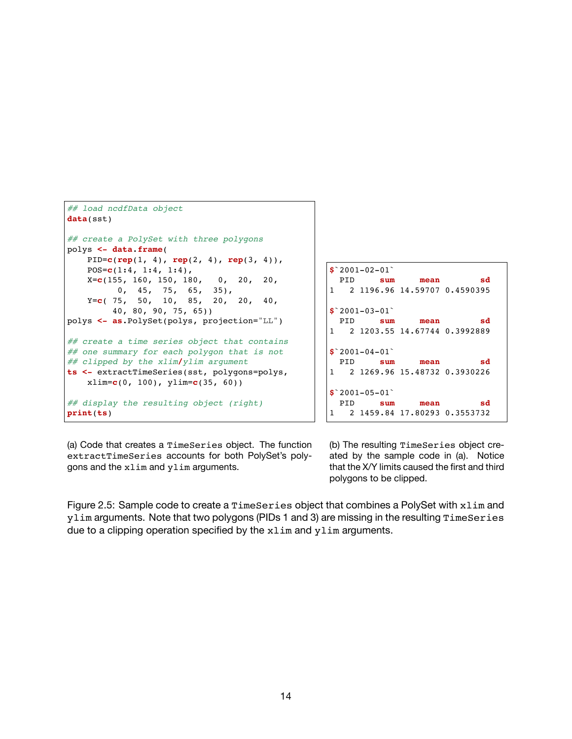```
## load ncdfData object
data(sst)
## create a PolySet with three polygons
polys <- data.frame(
   PID=c(rep(1, 4), rep(2, 4), rep(3, 4)),
   POS=c(1:4, 1:4, 1:4),
   X=c(155, 160, 150, 180, 0, 20, 20,
          0, 45, 75, 65, 35),
    Y=c( 75, 50, 10, 85, 20, 20, 40,
        40, 80, 90, 75, 65))
polys <- as.PolySet(polys, projection="LL")
## create a time series object that contains
## one summary for each polygon that is not
## clipped by the xlim/ylim argument
ts <- extractTimeSeries(sst, polygons=polys,
   xlim=c(0, 100), ylim=c(35, 60))
## display the resulting object (right)
print(ts)
```

```
$`2001-02-01`
 PID sum mean sd
1 2 1196.96 14.59707 0.4590395
$`2001-03-01`
PID sum mean sd
1 2 1203.55 14.67744 0.3992889
$`2001-04-01`
PID sum mean sd
1 2 1269.96 15.48732 0.3930226
$`2001-05-01`
PID sum mean sd
1 2 1459.84 17.80293 0.3553732
```
(a) Code that creates a TimeSeries object. The function extractTimeSeries accounts for both PolySet's polygons and the xlim and ylim arguments.

(b) The resulting TimeSeries object created by the sample code in (a). Notice that the X/Y limits caused the first and third polygons to be clipped.

Figure 2.5: Sample code to create a TimeSeries object that combines a PolySet with xlim and ylim arguments. Note that two polygons (PIDs 1 and 3) are missing in the resulting TimeSeries due to a clipping operation specified by the xlim and ylim arguments.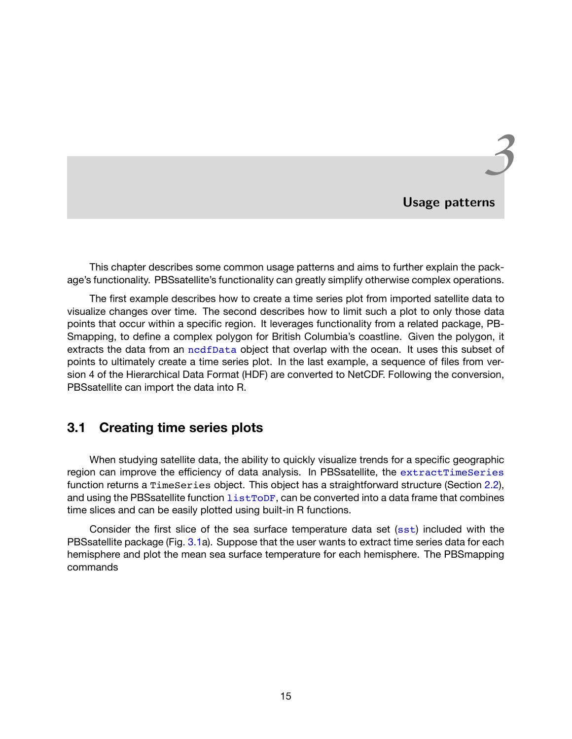# *3* **Usage patterns**

<span id="page-17-0"></span>This chapter describes some common usage patterns and aims to further explain the package's functionality. PBSsatellite's functionality can greatly simplify otherwise complex operations.

The first example describes how to create a time series plot from imported satellite data to visualize changes over time. The second describes how to limit such a plot to only those data points that occur within a specific region. It leverages functionality from a related package, PB-Smapping, to define a complex polygon for British Columbia's coastline. Given the polygon, it extracts the data from an [ncdfData](#page-45-1) object that overlap with the ocean. It uses this subset of points to ultimately create a time series plot. In the last example, a sequence of files from version 4 of the Hierarchical Data Format (HDF) are converted to NetCDF. Following the conversion, PBSsatellite can import the data into R.

# <span id="page-17-1"></span>**3.1 Creating time series plots**

When studying satellite data, the ability to quickly visualize trends for a specific geographic region can improve the efficiency of data analysis. In PBSsatellite, the [extractTimeSeries](#page-40-1) function returns a TimeSeries object. This object has a straightforward structure (Section [2.2](#page-14-0)), and using the PBSsatellite function list ToDF, can be converted into a data frame that combines time slices and can be easily plotted using built-in R functions.

Consider the first slice of the sea surface temperature data set  $(sst)$  $(sst)$  $(sst)$  included with the PBSsatellite package (Fig. [3.1](#page-18-0)a). Suppose that the user wants to extract time series data for each hemisphere and plot the mean sea surface temperature for each hemisphere. The PBSmapping commands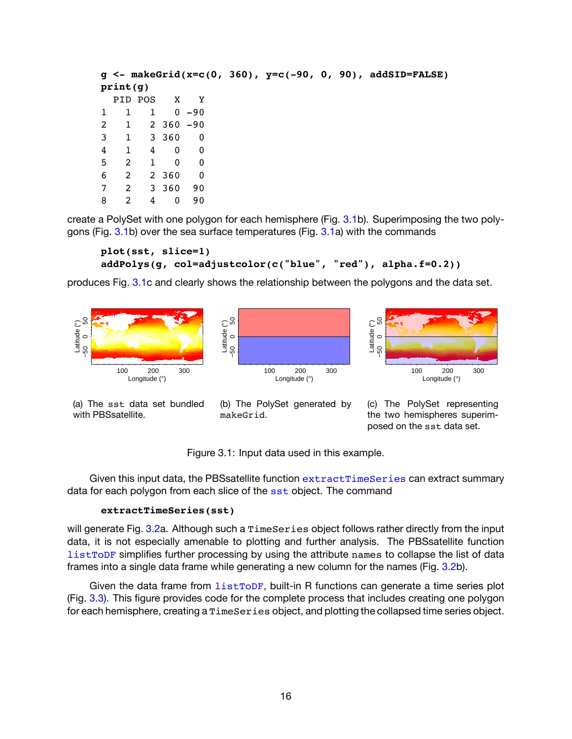|   |             |                |              |          |  |  | $g \le -$ makeGrid(x=c(0, 360), $y=c(-90, 0, 90)$ , addSID=FALSE) |
|---|-------------|----------------|--------------|----------|--|--|-------------------------------------------------------------------|
|   | print(q)    |                |              |          |  |  |                                                                   |
|   |             |                | PID POS X Y  |          |  |  |                                                                   |
|   | 1           | $\overline{1}$ |              | $0 - 90$ |  |  |                                                                   |
|   | $2 \quad 1$ |                | $2,360 - 90$ |          |  |  |                                                                   |
| 3 |             | 1 3 3 6 0      |              | 0        |  |  |                                                                   |
| 4 | 1           | 4              | $\mathbf{0}$ | 0        |  |  |                                                                   |
| 5 | 2           | $\mathbf{1}$   | $\mathbf{0}$ | 0        |  |  |                                                                   |
| 6 | 2           |                | 2 360        | 0        |  |  |                                                                   |
|   | 2           |                | 3 360        | 90       |  |  |                                                                   |
| 8 | 2           | 4              | 0            | 90       |  |  |                                                                   |

create a PolySet with one polygon for each hemisphere (Fig. [3.1b](#page-18-0)). Superimposing the two polygons (Fig. [3.1](#page-18-0)b) over the sea surface temperatures (Fig. [3.1a](#page-18-0)) with the commands

```
plot(sst, slice=1)
addPolys(g, col=adjustcolor(c("blue", "red"), alpha.f=0.2))
```
<span id="page-18-0"></span>produces Fig. [3.1](#page-18-0)c and clearly shows the relationship between the polygons and the data set.



(a) The sst data set bundled with PBSsatellite.

(b) The PolySet generated by makeGrid.

(c) The PolySet representing the two hemispheres superimposed on the sst data set.

Figure 3.1: Input data used in this example.

Given this input data, the PBSsatellite function [extractTimeSeries](#page-40-1) can extract summary data for each polygon from each slice of the [sst](#page-56-1) object. The command

#### **extractTimeSeries(sst)**

will generate Fig. [3.2a](#page-19-1). Although such a TimeSeries object follows rather directly from the input data, it is not especially amenable to plotting and further analysis. The PBSsatellite function [listToDF](#page-43-1) simplifies further processing by using the attribute names to collapse the list of data frames into a single data frame while generating a new column for the names (Fig. [3.2b](#page-19-1)).

Given the data frame from  $listToDF$ , built-in R functions can generate a time series plot (Fig. [3.3](#page-20-0)). This figure provides code for the complete process that includes creating one polygon for each hemisphere, creating a TimeSeries object, and plotting the collapsed time series object.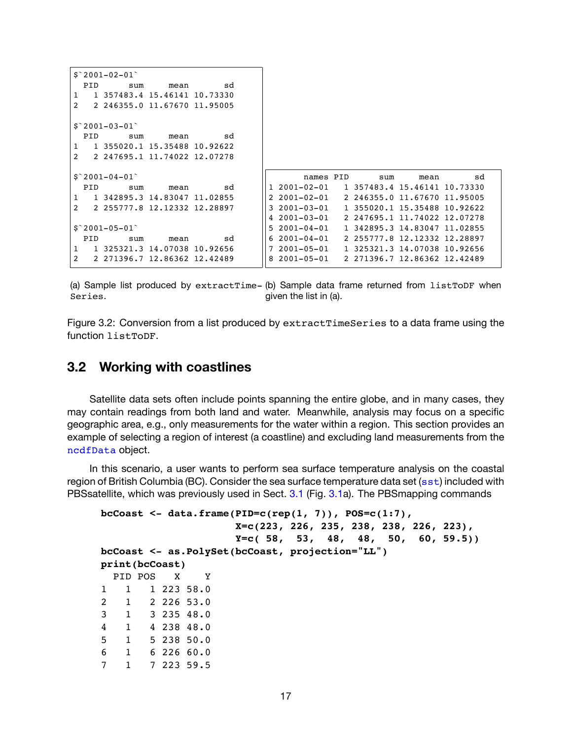```
$^{\textdegree}2001-02-01PID sum mean sd
1 1 357483.4 15.46141 10.73330
2 2 246355.0 11.67670 11.95005
$^{\circ}2001-03-01^{\circ}PID sum mean sd
1 1 355020.1 15.35488 10.92622
2 2 247695.1 11.74022 12.07278
$^{\circ}2001-04-01^{\circ}PID sum mean sd
1 1 342895.3 14.83047 11.02855
2 2 255777.8 12.12332 12.28897
$^{\textdegree}2001-05-01$^{\textdegree}PID sum mean sd
1 1 325321.3 14.07038 10.92656
2 2 271396.7 12.86362 12.42489
                                            names PID sum mean sd
                                     1 2001-02-01 1 357483.4 15.46141 10.73330
                                     2 2001-02-01 2 246355.0 11.67670 11.95005
                                     3 2001-03-01 1 355020.1 15.35488 10.92622
                                     4 2001-03-01 2 247695.1 11.74022 12.07278
                                     5 2001-04-01 1 342895.3 14.83047 11.02855
                                     6 2001-04-01 2 255777.8 12.12332 12.28897
                                     7 2001-05-01 1 325321.3 14.07038 10.92656
                                     8 2001-05-01 2 271396.7 12.86362 12.42489
```
(a) Sample list produced by extractTime-(b) Sample data frame returned from listToDF when Series. given the list in (a).

Figure 3.2: Conversion from a list produced by extractTimeSeries to a data frame using the function listToDF.

# <span id="page-19-0"></span>**3.2 Working with coastlines**

Satellite data sets often include points spanning the entire globe, and in many cases, they may contain readings from both land and water. Meanwhile, analysis may focus on a specific geographic area, e.g., only measurements for the water within a region. This section provides an example of selecting a region of interest (a coastline) and excluding land measurements from the [ncdfData](#page-45-1) object.

In this scenario, a user wants to perform sea surface temperature analysis on the coastal region of British Columbia (BC). Consider the sea surface temperature data set ( $sst$ ) included with PBSsatellite, which was previously used in Sect. [3.1](#page-17-1) (Fig. [3.1](#page-18-0)a). The PBSmapping commands

```
bcCoast <- data.frame(PID=c(rep(1, 7)), POS=c(1:7),
                    X=c(223, 226, 235, 238, 238, 226, 223),
                    Y=c( 58, 53, 48, 48, 50, 60, 59.5))
bcCoast <- as.PolySet(bcCoast, projection="LL")
print(bcCoast)
 PID POS X Y
1 1 1 223 58.0
2 1 2 226 53.0
3 1 3 235 48.0
4 1 4 238 48.0
5 1 5 238 50.0
6 1 6 226 60.0
7 1 7 223 59.5
```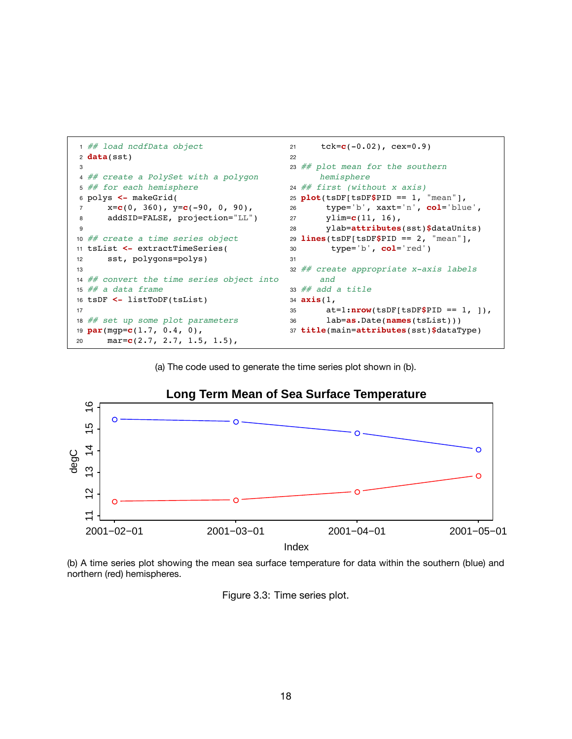```
1 ## load ncdfData object
2 data(sst)
3
4 ## create a PolySet with a polygon
5 ## for each hemisphere
6 polys <- makeGrid(
7 x=c(0, 360), y=c(-90, 0, 90),
8 addSID=FALSE, projection="LL")
9
10 ## create a time series object
11 tsList <- extractTimeSeries(
12 sst, polygons=polys)
13
14 ## convert the time series object into
15 # a data frame
16 tsDF <- listToDF(tsList)
17
18 ## set up some plot parameters
19 par(mgp=c(1.7, 0.4, 0),
20 mar=c(2.7, 2.7, 1.5, 1.5),
                                          21 tck=c(-0.02), cex=0.9)
                                          22
                                          23 ## plot mean for the southern
                                                hemisphere
                                          24 \# first (without x axis)
                                          25 plot(tsDF[tsDF$PID == 1, "mean"],
                                          26 type='b', xaxt='n', col='blue',
                                          27 ylim=c(11, 16),
                                          28 ylab=attributes(sst)$dataUnits)
                                          29 lines(tsDF[tsDF$PID == 2, "mean"],
                                          30 type='b', col='red')
                                          31
                                          32 ## create appropriate x-axis labels
                                               and
                                          33 # add a title
                                          34 axis(1,
                                          35 at=1:nrow(tsDF[tsDF$PID == 1, ]),
                                          36 lab=as.Date(names(tsList)))
                                         37 title(main=attributes(sst)$dataType)
```
(a) The code used to generate the time series plot shown in (b).



(b) A time series plot showing the mean sea surface temperature for data within the southern (blue) and northern (red) hemispheres.

Figure 3.3: Time series plot.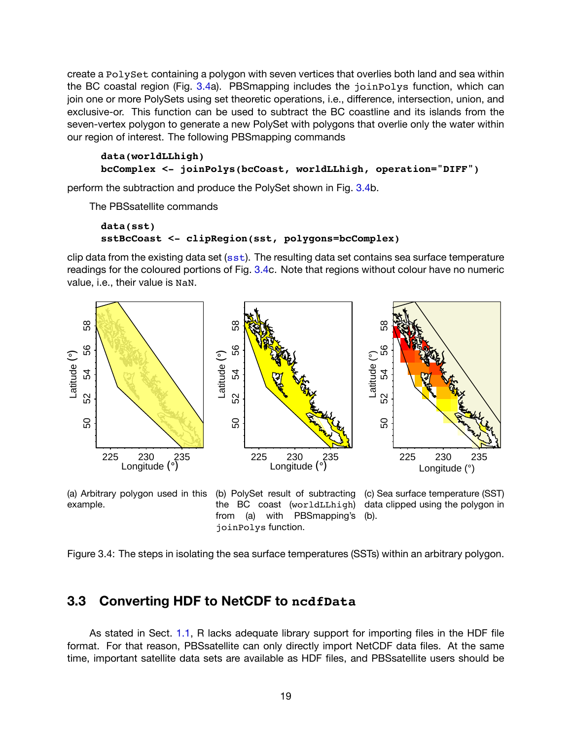create a PolySet containing a polygon with seven vertices that overlies both land and sea within the BC coastal region (Fig. [3.4a](#page-21-1)). PBSmapping includes the joinPolys function, which can join one or more PolySets using set theoretic operations, i.e., difference, intersection, union, and exclusive-or. This function can be used to subtract the BC coastline and its islands from the seven-vertex polygon to generate a new PolySet with polygons that overlie only the water within our region of interest. The following PBSmapping commands

#### **data(worldLLhigh) bcComplex <- joinPolys(bcCoast, worldLLhigh, operation="DIFF")**

perform the subtraction and produce the PolySet shown in Fig. [3.4b](#page-21-1).

The PBSsatellite commands

```
data(sst)
sstBcCoast <- clipRegion(sst, polygons=bcComplex)
```
clip data from the existing data set ( $sst$ ). The resulting data set contains sea surface temperature readings for the coloured portions of Fig. [3.4c](#page-21-1). Note that regions without colour have no numeric value, i.e., their value is NaN.

<span id="page-21-1"></span>



the BC coast (worldLLhigh) data clipped using the polygon in from (a) with PBSmapping's (b). joinPolys function.

Figure 3.4: The steps in isolating the sea surface temperatures (SSTs) within an arbitrary polygon.

# <span id="page-21-0"></span>**3.3 Converting HDF to NetCDF to ncdfData**

As stated in Sect. [1.1,](#page-5-1) R lacks adequate library support for importing files in the HDF file format. For that reason, PBSsatellite can only directly import NetCDF data files. At the same time, important satellite data sets are available as HDF files, and PBSsatellite users should be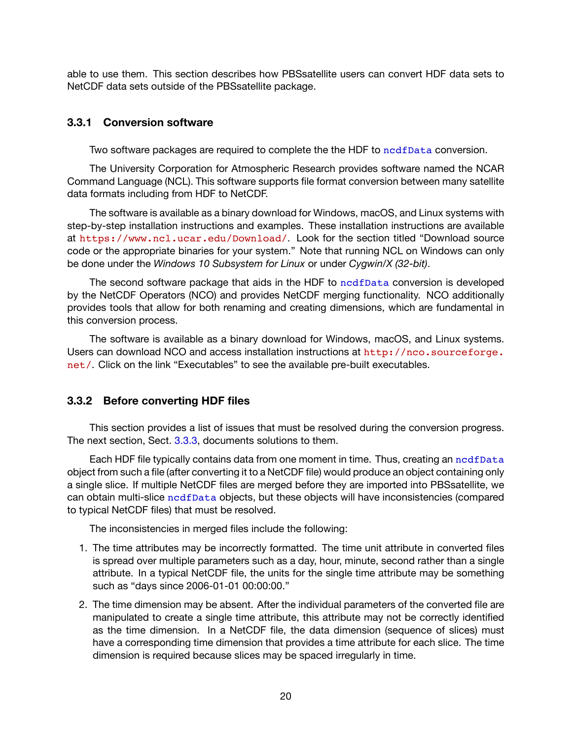able to use them. This section describes how PBSsatellite users can convert HDF data sets to NetCDF data sets outside of the PBSsatellite package.

#### <span id="page-22-0"></span>**3.3.1 Conversion software**

Two software packages are required to complete the the HDF to [ncdfData](#page-45-1) conversion.

The University Corporation for Atmospheric Research provides software named the NCAR Command Language (NCL). This software supports file format conversion between many satellite data formats including from HDF to NetCDF.

The software is available as a binary download for Windows, macOS, and Linux systems with step-by-step installation instructions and examples. These installation instructions are available at <https://www.ncl.ucar.edu/Download/>. Look for the section titled "Download source code or the appropriate binaries for your system." Note that running NCL on Windows can only be done under the *Windows 10 Subsystem for Linux* or under *Cygwin/X (32-bit)*.

The second software package that aids in the HDF to [ncdfData](#page-45-1) conversion is developed by the NetCDF Operators (NCO) and provides NetCDF merging functionality. NCO additionally provides tools that allow for both renaming and creating dimensions, which are fundamental in this conversion process.

The software is available as a binary download for Windows, macOS, and Linux systems. Users can download NCO and access installation instructions at [http://nco.sourceforge.](http://nco.sourceforge.net/) [net/](http://nco.sourceforge.net/). Click on the link "Executables" to see the available pre-built executables.

# <span id="page-22-1"></span>**3.3.2 Before converting HDF files**

This section provides a list of issues that must be resolved during the conversion progress. The next section, Sect. [3.3.3](#page-23-0), documents solutions to them.

Each HDF file typically contains data from one moment in time. Thus, creating an [ncdfData](#page-45-1) object from such a file (after converting it to a NetCDF file) would produce an object containing only a single slice. If multiple NetCDF files are merged before they are imported into PBSsatellite, we can obtain multi-slice [ncdfData](#page-45-1) objects, but these objects will have inconsistencies (compared to typical NetCDF files) that must be resolved.

The inconsistencies in merged files include the following:

- 1. The time attributes may be incorrectly formatted. The time unit attribute in converted files is spread over multiple parameters such as a day, hour, minute, second rather than a single attribute. In a typical NetCDF file, the units for the single time attribute may be something such as "days since 2006-01-01 00:00:00."
- 2. The time dimension may be absent. After the individual parameters of the converted file are manipulated to create a single time attribute, this attribute may not be correctly identified as the time dimension. In a NetCDF file, the data dimension (sequence of slices) must have a corresponding time dimension that provides a time attribute for each slice. The time dimension is required because slices may be spaced irregularly in time.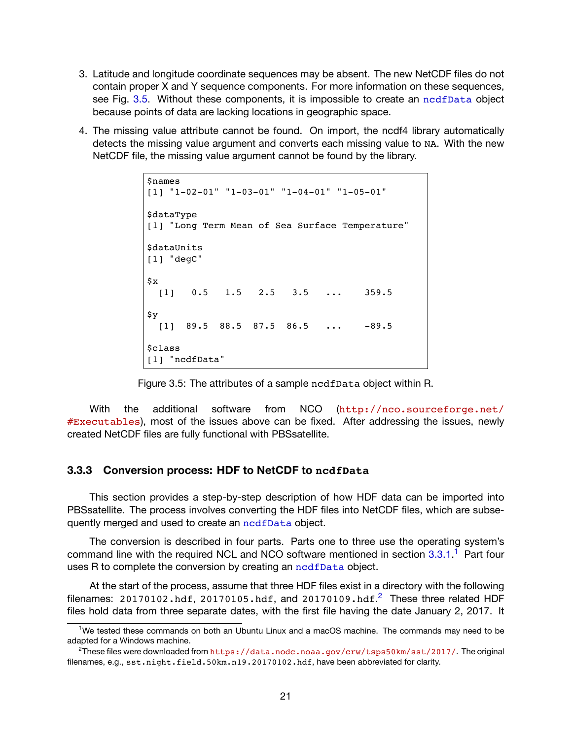- 3. Latitude and longitude coordinate sequences may be absent. The new NetCDF files do not contain proper X and Y sequence components. For more information on these sequences, see Fig. [3.5.](#page-23-1) Without these components, it is impossible to create an [ncdfData](#page-45-1) object because points of data are lacking locations in geographic space.
- <span id="page-23-1"></span>4. The missing value attribute cannot be found. On import, the ncdf4 library automatically detects the missing value argument and converts each missing value to NA. With the new NetCDF file, the missing value argument cannot be found by the library.

```
$names
[1] "1-02-01" "1-03-01" "1-04-01" "1-05-01"
$dataType
[1] "Long Term Mean of Sea Surface Temperature"
$dataUnits
[1] "degC"
$x
 [1] 0.5 1.5 2.5 3.5 ... 359.5
$y
 [1] 89.5 88.5 87.5 86.5 ... -89.5
<u>Sclass</u>
[1] "ncdfData"
```
Figure 3.5: The attributes of a sample ncdfData object within R.

With the additional software from NCO ([http://nco.sourceforge.net/](http://nco.sourceforge.net/#Executables) [#Executables](http://nco.sourceforge.net/#Executables)), most of the issues above can be fixed. After addressing the issues, newly created NetCDF files are fully functional with PBSsatellite.

#### <span id="page-23-0"></span>**3.3.3 Conversion process: HDF to NetCDF to ncdfData**

This section provides a step-by-step description of how HDF data can be imported into PBSsatellite. The process involves converting the HDF files into NetCDF files, which are subsequently merged and used to create an [ncdfData](#page-45-1) object.

The conversion is described in four parts. Parts one to three use the operating system's command line with the required NCL and NCO software mentioned in section [3.3.1](#page-22-0).<sup>1</sup> Part four uses R to complete the conversion by creating an nodfData object.

At the start of the process, assume that three HDF files exist in a directory with the following filenames: 20170102.hdf, 20170105.hdf, and 20170109.hdf.<sup>2</sup> These three related HDF files hold data from three separate dates, with the first file having the date January 2, 2017. It

<sup>1</sup>We tested these commands on both an Ubuntu Linux and a macOS machine. The commands may need to be adapted for a Windows machine.

<sup>&</sup>lt;sup>2</sup>These files were downloaded from <https://data.nodc.noaa.gov/crw/tsps50km/sst/2017/>. The original filenames, e.g., sst.night.field.50km.n19.20170102.hdf, have been abbreviated for clarity.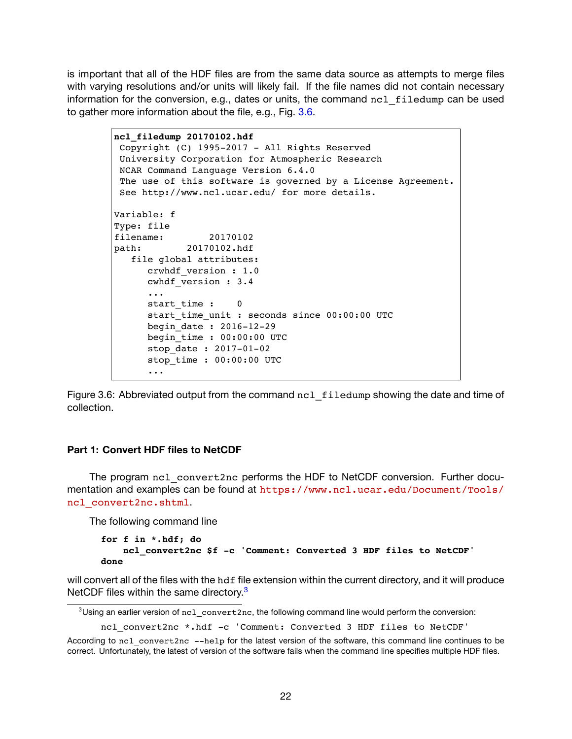is important that all of the HDF files are from the same data source as attempts to merge files with varying resolutions and/or units will likely fail. If the file names did not contain necessary information for the conversion, e.g., dates or units, the command ncl filedump can be used to gather more information about the file, e.g., Fig. [3.6.](#page-24-0)

> <span id="page-24-0"></span>**ncl\_filedump 20170102.hdf** Copyright (C) 1995-2017 - All Rights Reserved University Corporation for Atmospheric Research NCAR Command Language Version 6.4.0 The use of this software is governed by a License Agreement. See http://www.ncl.ucar.edu/ for more details. Variable: f Type: file filename: 20170102 path: 20170102.hdf file global attributes: crwhdf\_version : 1.0 cwhdf\_version : 3.4 ... start time : 0 start time unit : seconds since 00:00:00 UTC begin\_date : 2016-12-29 begin\_time : 00:00:00 UTC stop\_date : 2017-01-02 stop\_time : 00:00:00 UTC ...

Figure 3.6: Abbreviated output from the command ncl filedump showing the date and time of collection.

#### **Part 1: Convert HDF files to NetCDF**

The program ncl\_convert2nc performs the HDF to NetCDF conversion. Further documentation and examples can be found at [https://www.ncl.ucar.edu/Document/Tools/](https://www.ncl.ucar.edu/Document/Tools/ncl_convert2nc.shtml) [ncl\\_convert2nc.shtml](https://www.ncl.ucar.edu/Document/Tools/ncl_convert2nc.shtml).

The following command line

```
for f in *.hdf; do
   ncl_convert2nc $f -c 'Comment: Converted 3 HDF files to NetCDF'
done
```
will convert all of the files with the hdf file extension within the current directory, and it will produce NetCDF files within the same directory.<sup>3</sup>

```
ncl_convert2nc *.hdf -c 'Comment: Converted 3 HDF files to NetCDF'
```
 $3$ Using an earlier version of ncl convert2nc, the following command line would perform the conversion:

According to ncl\_convert2nc --help for the latest version of the software, this command line continues to be correct. Unfortunately, the latest of version of the software fails when the command line specifies multiple HDF files.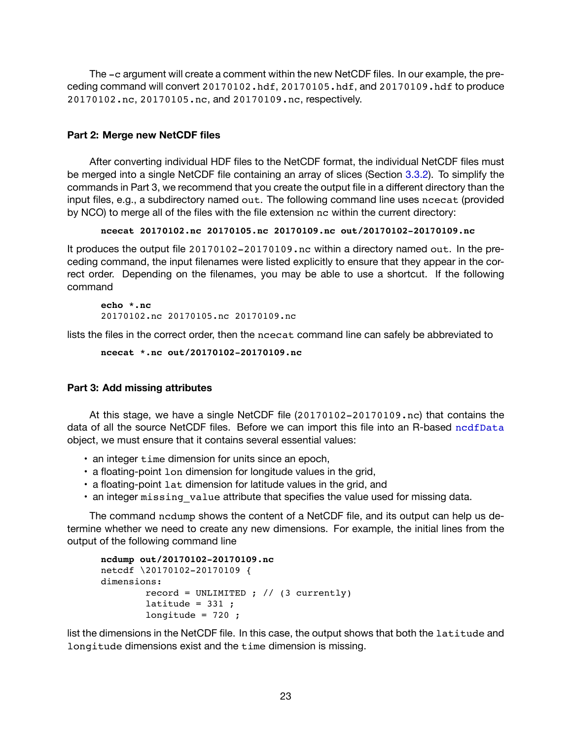The -c argument will create a comment within the new NetCDF files. In our example, the preceding command will convert 20170102.hdf, 20170105.hdf, and 20170109.hdf to produce 20170102.nc, 20170105.nc, and 20170109.nc, respectively.

#### **Part 2: Merge new NetCDF files**

After converting individual HDF files to the NetCDF format, the individual NetCDF files must be merged into a single NetCDF file containing an array of slices (Section [3.3.2\)](#page-22-1). To simplify the commands in Part 3, we recommend that you create the output file in a different directory than the input files, e.g., a subdirectory named out. The following command line uses ncecat (provided by NCO) to merge all of the files with the file extension nc within the current directory:

#### **ncecat 20170102.nc 20170105.nc 20170109.nc out/20170102-20170109.nc**

It produces the output file 20170102-20170109.nc within a directory named out. In the preceding command, the input filenames were listed explicitly to ensure that they appear in the correct order. Depending on the filenames, you may be able to use a shortcut. If the following command

**echo \*.nc** 20170102.nc 20170105.nc 20170109.nc

lists the files in the correct order, then the ncecat command line can safely be abbreviated to

```
ncecat *.nc out/20170102-20170109.nc
```
#### <span id="page-25-0"></span>**Part 3: Add missing attributes**

At this stage, we have a single NetCDF file (20170102-20170109.nc) that contains the data of all the source NetCDF files. Before we can import this file into an R-based [ncdfData](#page-45-1) object, we must ensure that it contains several essential values:

- an integer time dimension for units since an epoch,
- a floating-point lon dimension for longitude values in the grid,
- a floating-point lat dimension for latitude values in the grid, and
- an integer missing value attribute that specifies the value used for missing data.

The command ncdump shows the content of a NetCDF file, and its output can help us determine whether we need to create any new dimensions. For example, the initial lines from the output of the following command line

```
ncdump out/20170102-20170109.nc
netcdf \20170102-20170109 {
dimensions:
        record = UNLIMITED ; \frac{1}{3} currently)
        latitude = 331;
        longitude = 720;
```
list the dimensions in the NetCDF file. In this case, the output shows that both the latitude and longitude dimensions exist and the time dimension is missing.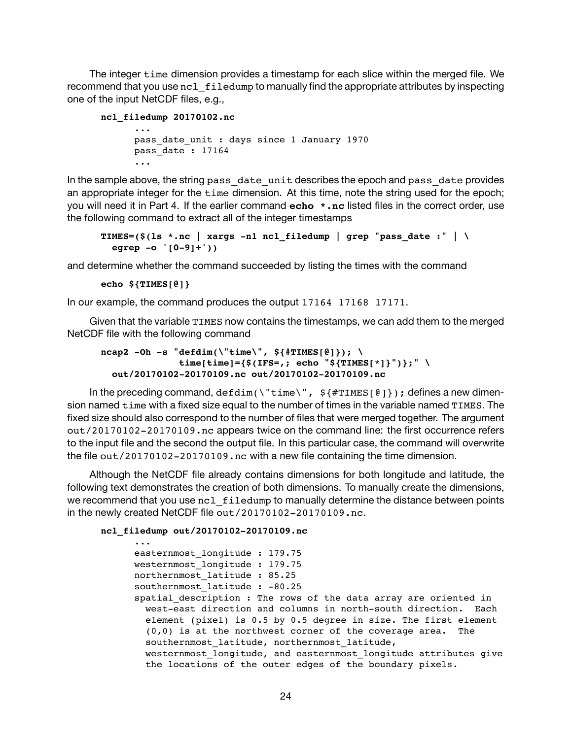The integer time dimension provides a timestamp for each slice within the merged file. We recommend that you use ncl filedump to manually find the appropriate attributes by inspecting one of the input NetCDF files, e.g.,

```
ncl_filedump 20170102.nc
      ...
```

```
pass date unit : days since 1 January 1970
pass_date : 17164
...
```
In the sample above, the string pass date unit describes the epoch and pass date provides an appropriate integer for the time dimension. At this time, note the string used for the epoch; you will need it in Part 4. If the earlier command **echo \*.nc** listed files in the correct order, use the following command to extract all of the integer timestamps

```
TIMES=($(ls *.nc | xargs -n1 ncl_filedump | grep "pass_date :" | \
 egrep -o '[0-9]+'))
```
and determine whether the command succeeded by listing the times with the command

```
echo ${TIMES[@]}
```
In our example, the command produces the output 17164 17168 17171.

Given that the variable TIMES now contains the timestamps, we can add them to the merged NetCDF file with the following command

```
ncap2 -Oh -s "defdim(\{\text{time}\}, \text{S}\{\text{#TIMES}[\Theta]\}); \
                time[time]={$(IFS=,; echo "${TIMES[*]}")};" \
  out/20170102-20170109.nc out/20170102-20170109.nc
```
In the preceding command, defdim(\"time\",  $\frac{1}{2}$  {#TIMES[ $\frac{0}{2}$ ]}); defines a new dimension named time with a fixed size equal to the number of times in the variable named TIMES. The fixed size should also correspond to the number of files that were merged together. The argument out/20170102-20170109.nc appears twice on the command line: the first occurrence refers to the input file and the second the output file. In this particular case, the command will overwrite the file out/20170102-20170109.nc with a new file containing the time dimension.

Although the NetCDF file already contains dimensions for both longitude and latitude, the following text demonstrates the creation of both dimensions. To manually create the dimensions, we recommend that you use ncl filedump to manually determine the distance between points in the newly created NetCDF file out/20170102-20170109.nc.

**ncl\_filedump out/20170102-20170109.nc**

```
...
easternmost_longitude : 179.75
westernmost_longitude : 179.75
northernmost latitude : 85.25
southernmost latitude : -80.25
spatial description : The rows of the data array are oriented in
  west-east direction and columns in north-south direction. Each
  element (pixel) is 0.5 by 0.5 degree in size. The first element
  (0,0) is at the northwest corner of the coverage area. The
  southernmost latitude, northernmost latitude,
  westernmost longitude, and easternmost longitude attributes give
  the locations of the outer edges of the boundary pixels.
```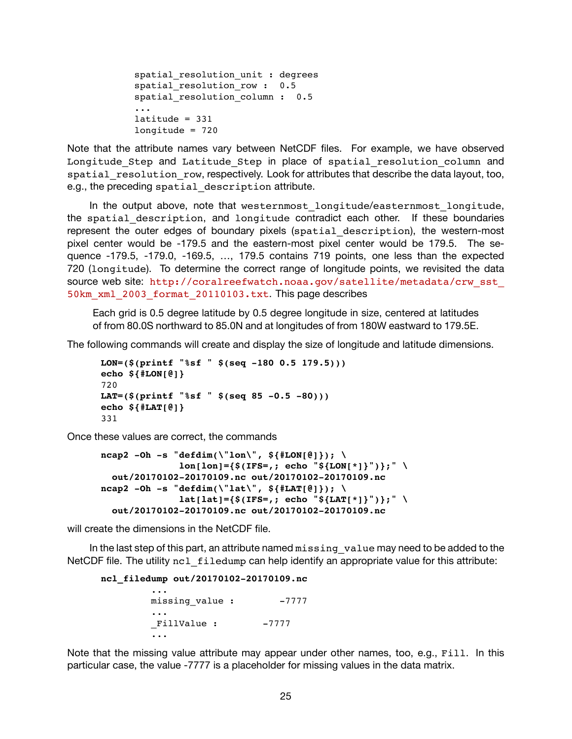```
spatial_resolution_unit : degrees
spatial resolution row : 0.5
spatial resolution column : 0.5
...
lattice = 331longitude = 720
```
Note that the attribute names vary between NetCDF files. For example, we have observed Longitude\_Step and Latitude\_Step in place of spatial\_resolution\_column and spatial resolution row, respectively. Look for attributes that describe the data layout, too, e.g., the preceding spatial description attribute.

In the output above, note that westernmost\_longitude/easternmost\_longitude, the spatial description, and longitude contradict each other. If these boundaries represent the outer edges of boundary pixels (spatial description), the western-most pixel center would be -179.5 and the eastern-most pixel center would be 179.5. The sequence -179.5, -179.0, -169.5, …, 179.5 contains 719 points, one less than the expected 720 (longitude). To determine the correct range of longitude points, we revisited the data source web site: http://coralreefwatch.noaa.gov/satellite/metadata/crw\_sst [50km\\_xml\\_2003\\_format\\_20110103.txt](http://coralreefwatch.noaa.gov/satellite/metadata/crw_sst_50km_xml_2003_format_20110103.txt). This page describes

Each grid is 0.5 degree latitude by 0.5 degree longitude in size, centered at latitudes of from 80.0S northward to 85.0N and at longitudes of from 180W eastward to 179.5E.

The following commands will create and display the size of longitude and latitude dimensions.

```
LON=($(printf "%sf " $(seq -180 0.5 179.5)))
echo ${#LON[@]}
720
LAT=($(printf "%sf " $(seq 85 -0.5 -80)))
echo ${#LAT[@]}
331
```
Once these values are correct, the commands

```
ncap2 -Oh -s "defdim(\{\text{Un}\}, \\text{lon}[\text{lon}]=\{\$(\text{IFS=},\text{; echo "$\$}\{\text{LON['*]}\}\text{''}\ \}\text{''}out/20170102-20170109.nc out/20170102-20170109.nc
ncap2 -Oh -s "defdim(\"lat\", ${#LAT[@]}); \
                lat[lat]=\{math>$(IFS=; echo "${LAT[*]} \\" \
  out/20170102-20170109.nc out/20170102-20170109.nc
```
will create the dimensions in the NetCDF file.

In the last step of this part, an attribute named missing value may need to be added to the NetCDF file. The utility  $nc1$  filedump can help identify an appropriate value for this attribute:

**ncl\_filedump out/20170102-20170109.nc**

```
...
missing value : -7777
...
FillValue : -7777
...
```
Note that the missing value attribute may appear under other names, too, e.g., Fill. In this particular case, the value -7777 is a placeholder for missing values in the data matrix.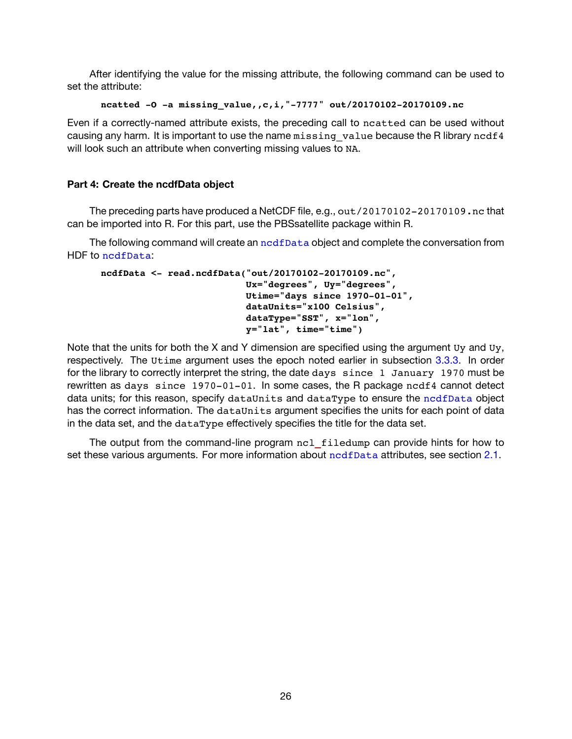After identifying the value for the missing attribute, the following command can be used to set the attribute:

```
ncatted -O -a missing_value,,c,i,"-7777" out/20170102-20170109.nc
```
Even if a correctly-named attribute exists, the preceding call to ncatted can be used without causing any harm. It is important to use the name missing value because the R library ncdf4 will look such an attribute when converting missing values to NA.

#### **Part 4: Create the ncdfData object**

The preceding parts have produced a NetCDF file, e.g., out/20170102-20170109.nc that can be imported into R. For this part, use the PBSsatellite package within R.

The following command will create an  ${\rm ncdfbata}$  object and complete the conversation from HDF to [ncdfData](#page-45-1):

```
ncdfData <- read.ncdfData("out/20170102-20170109.nc",
                          Ux="degrees", Uy="degrees",
                          Utime="days since 1970-01-01",
                          dataUnits="x100 Celsius",
                          dataType="SST", x="lon",
                          y="lat", time="time")
```
Note that the units for both the X and Y dimension are specified using the argument Uy and Uy, respectively. The Utime argument uses the epoch noted earlier in subsection [3.3.3.](#page-25-0) In order for the library to correctly interpret the string, the date days since 1 January 1970 must be rewritten as days since 1970-01-01. In some cases, the R package ncdf4 cannot detect data units; for this reason, specify dataUnits and dataType to ensure the [ncdfData](#page-45-1) object has the correct information. The dataUnits argument specifies the units for each point of data in the data set, and the dataType effectively specifies the title for the data set.

The output from the command-line program ncl**\_**filedump can provide hints for how to set these various arguments. For more information about [ncdfData](#page-45-1) attributes, see section [2.1.](#page-9-1)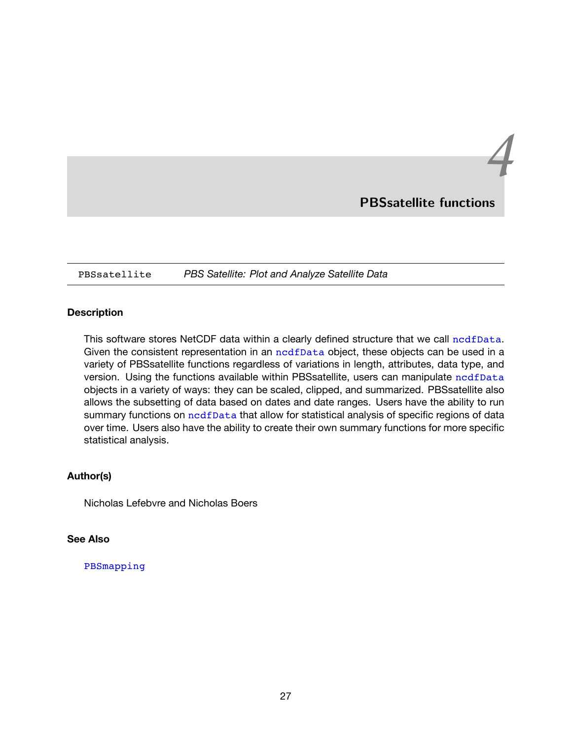# **PBSsatellite functions**

*4*

<span id="page-29-1"></span><span id="page-29-0"></span>PBSsatellite *PBS Satellite: Plot and Analyze Satellite Data*

#### **Description**

This software stores NetCDF data within a clearly defined structure that we call nodfData. Given the consistent representation in an [ncdfData](#page-45-1) object, these objects can be used in a variety of PBSsatellite functions regardless of variations in length, attributes, data type, and version. Using the functions available within PBSsatellite, users can manipulate [ncdfData](#page-45-1) objects in a variety of ways: they can be scaled, clipped, and summarized. PBSsatellite also allows the subsetting of data based on dates and date ranges. Users have the ability to run summary functions on nedfData that allow for statistical analysis of specific regions of data over time. Users also have the ability to create their own summary functions for more specific statistical analysis.

#### **Author(s)**

Nicholas Lefebvre and Nicholas Boers

#### **See Also**

#### PBSmapping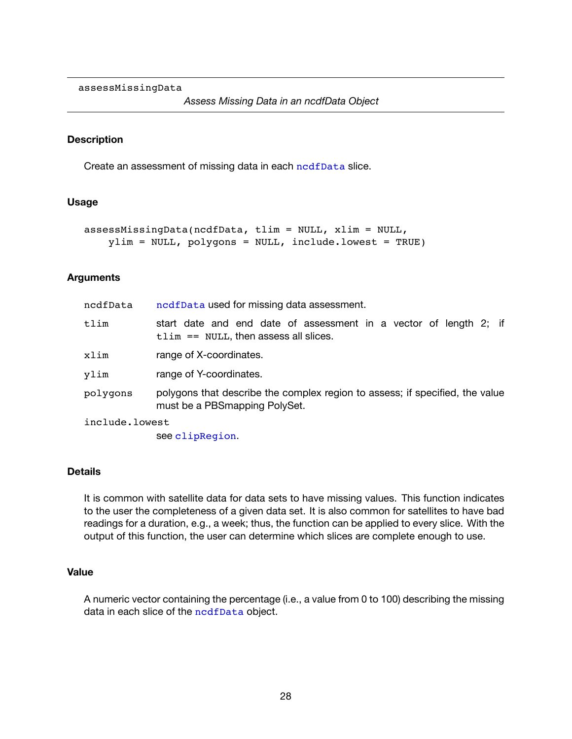<span id="page-30-1"></span><span id="page-30-0"></span>assessMissingData

#### **Description**

Create an assessment of missing data in each [ncdfData](#page-45-1) slice.

#### **Usage**

```
assessMissingData(ncdfData, tlim = NULL, xlim = NULL,
   ylim = NULL, polygons = NULL, include.lowest = TRUE)
```
#### **Arguments**

| ncdfData       | ncdfData used for missing data assessment.                                                                    |
|----------------|---------------------------------------------------------------------------------------------------------------|
| tlim           | start date and end date of assessment in a vector of length 2; if<br>$tlim == NULL$ , then assess all slices. |
| xlim           | range of X-coordinates.                                                                                       |
| ylim           | range of Y-coordinates.                                                                                       |
| polygons       | polygons that describe the complex region to assess; if specified, the value<br>must be a PBSmapping PolySet. |
| include.lowest |                                                                                                               |

see [clipRegion](#page-32-1).

#### **Details**

It is common with satellite data for data sets to have missing values. This function indicates to the user the completeness of a given data set. It is also common for satellites to have bad readings for a duration, e.g., a week; thus, the function can be applied to every slice. With the output of this function, the user can determine which slices are complete enough to use.

#### **Value**

A numeric vector containing the percentage (i.e., a value from 0 to 100) describing the missing data in each slice of the [ncdfData](#page-45-1) object.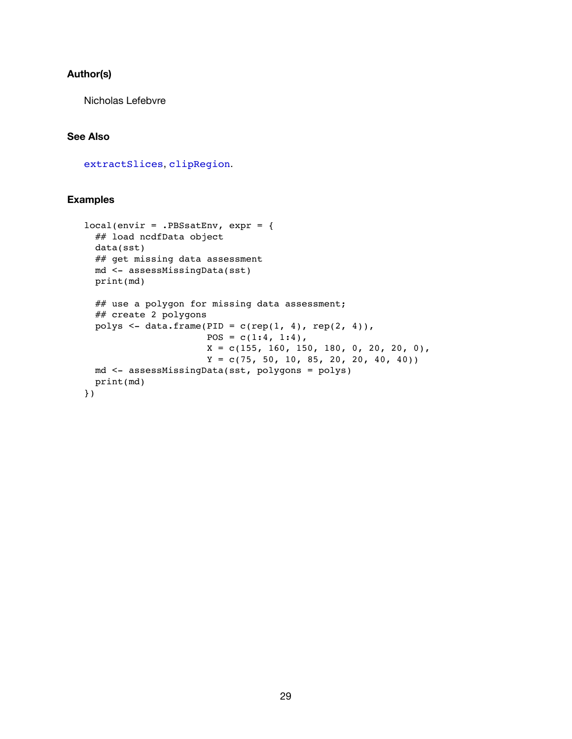#### **Author(s)**

Nicholas Lefebvre

#### **See Also**

[extractSlices](#page-38-1), [clipRegion](#page-32-1).

#### **Examples**

```
local(envir = .PBSsatEnv, expr = {
 ## load ncdfData object
 data(sst)
 ## get missing data assessment
 md <- assessMissingData(sst)
 print(md)
 ## use a polygon for missing data assessment;
 ## create 2 polygons
 polys <- data.frame(PID = c(rep(1, 4), rep(2, 4)),POS = c(1:4, 1:4),X = c(155, 160, 150, 180, 0, 20, 20, 0),
                      Y = c(75, 50, 10, 85, 20, 20, 40, 40)md <- assessMissingData(sst, polygons = polys)
 print(md)
})
```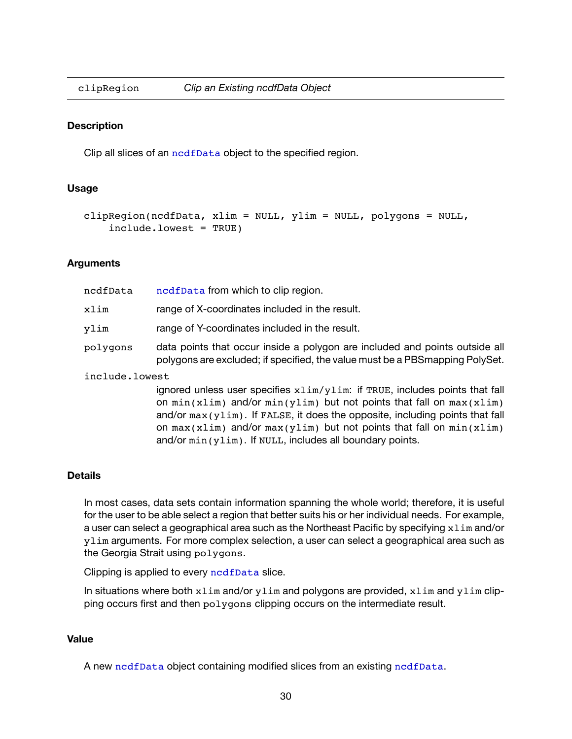<span id="page-32-1"></span><span id="page-32-0"></span>

#### **Description**

Clip all slices of an nedfData object to the specified region.

#### **Usage**

```
clipRegion(ncdfData, xlim = NULL, ylim = NULL, polygons = NULL,
    include.lowest = TRUE)
```
#### **Arguments**

| ncdfData       | ncdfData from which to clip region.                                                                                                                                                                                                         |  |
|----------------|---------------------------------------------------------------------------------------------------------------------------------------------------------------------------------------------------------------------------------------------|--|
| xlim           | range of X-coordinates included in the result.                                                                                                                                                                                              |  |
| ylim           | range of Y-coordinates included in the result.                                                                                                                                                                                              |  |
| polygons       | data points that occur inside a polygon are included and points outside all<br>polygons are excluded; if specified, the value must be a PBS mapping PolySet.                                                                                |  |
| include.lowest |                                                                                                                                                                                                                                             |  |
|                | ignored unless user specifies xlim/ylim: if TRUE, includes points that fall<br>on $min(xlim)$ and/or $min(ylim)$ but not points that fall on $max(xlim)$<br>and/or $max(ylim)$ . If FALSE, it does the opposite, including points that fall |  |

on  $max(xlim)$  and/or  $max(ylim)$  but not points that fall on  $min(xlim)$ 

#### **Details**

In most cases, data sets contain information spanning the whole world; therefore, it is useful for the user to be able select a region that better suits his or her individual needs. For example, a user can select a geographical area such as the Northeast Pacific by specifying xlim and/or ylim arguments. For more complex selection, a user can select a geographical area such as the Georgia Strait using polygons.

and/or min(ylim). If NULL, includes all boundary points.

Clipping is applied to every [ncdfData](#page-45-1) slice.

In situations where both  $xlim$  and/or  $ylim$  and polygons are provided,  $xlim$  and  $ylim$  clipping occurs first and then polygons clipping occurs on the intermediate result.

#### **Value**

A new [ncdfData](#page-45-1) object containing modified slices from an existing [ncdfData](#page-45-1).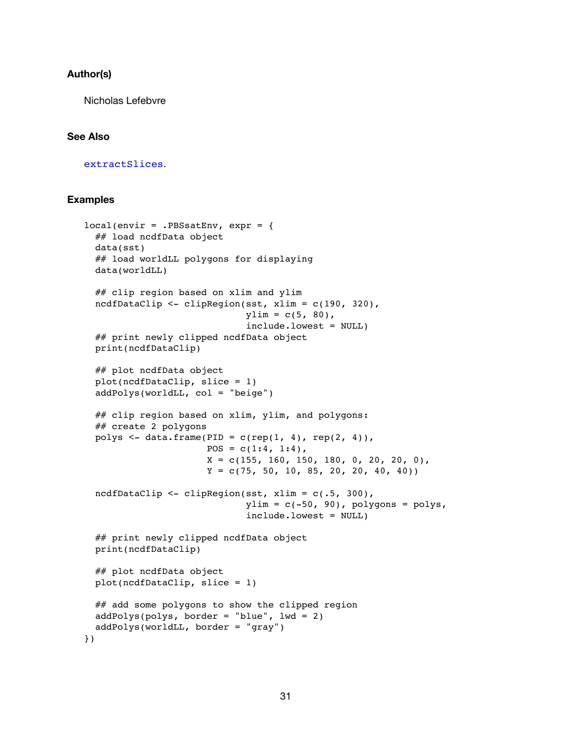#### **Author(s)**

Nicholas Lefebvre

#### **See Also**

[extractSlices](#page-38-1).

#### **Examples**

```
local(envir = .PBSsatEnv, expr = {
 ## load ncdfData object
 data(sst)
 ## load worldLL polygons for displaying
 data(worldLL)
 ## clip region based on xlim and ylim
 ncdfDataClip <- clipRegion(sst, xlim = c(190, 320),
                             ylim = c(5, 80),
                             include.lowest = NULL)
 ## print newly clipped ncdfData object
 print(ncdfDataClip)
 ## plot ncdfData object
 plot(ncdfDataClip, slice = 1)
 addPolys(worldLL, col = "beige")
 ## clip region based on xlim, ylim, and polygons:
 ## create 2 polygons
 polys \leq data.frame(PID = c(rep(1, 4), rep(2, 4)),
                      POS = c(1:4, 1:4),X = c(155, 160, 150, 180, 0, 20, 20, 0)Y = c(75, 50, 10, 85, 20, 20, 40, 40)ncdfDataClip <- clipRegion(sst, xlim = c(.5, 300),
                             ylim = c(-50, 90), polygons = polys,
                             include.lowest = NULL)
 ## print newly clipped ncdfData object
 print(ncdfDataClip)
 ## plot ncdfData object
 plot(ncdfDataClip, slice = 1)
 ## add some polygons to show the clipped region
 addPolys(polys, border = "blue", lwd = 2)addPolys(worldLL, border = "gray")
})
```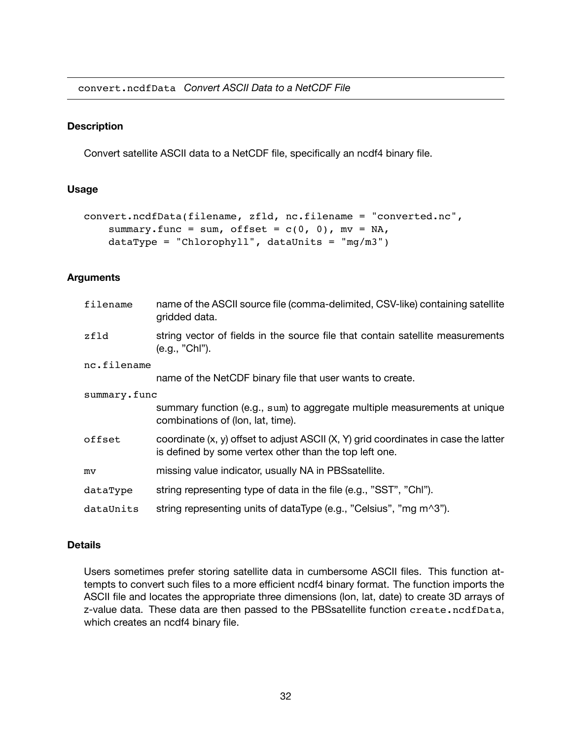<span id="page-34-0"></span>convert.ncdfData *Convert ASCII Data to a NetCDF File*

#### **Description**

Convert satellite ASCII data to a NetCDF file, specifically an ncdf4 binary file.

#### **Usage**

```
convert.ncdfData(filename, zfld, nc.filename = "converted.nc",
    summary.func = sum, offset = c(0, 0), mv = NA,
    dataType = "Chlorophyll", data Units = "mg/m3")
```
#### **Arguments**

| filename     | name of the ASCII source file (comma-delimited, CSV-like) containing satellite<br>gridded data.                                                   |
|--------------|---------------------------------------------------------------------------------------------------------------------------------------------------|
| zfld         | string vector of fields in the source file that contain satellite measurements<br>(e.g., "Chl").                                                  |
| nc.filename  |                                                                                                                                                   |
|              | name of the NetCDF binary file that user wants to create.                                                                                         |
| summary.func |                                                                                                                                                   |
|              | summary function (e.g., sum) to aggregate multiple measurements at unique<br>combinations of (lon, lat, time).                                    |
| offset       | coordinate $(x, y)$ offset to adjust ASCII $(X, Y)$ grid coordinates in case the latter<br>is defined by some vertex other than the top left one. |
| mv           | missing value indicator, usually NA in PBS satellite.                                                                                             |
| dataType     | string representing type of data in the file (e.g., "SST", "Chl").                                                                                |
| dataUnits    | string representing units of dataType (e.g., "Celsius", "mg m^3").                                                                                |

#### **Details**

Users sometimes prefer storing satellite data in cumbersome ASCII files. This function attempts to convert such files to a more efficient ncdf4 binary format. The function imports the ASCII file and locates the appropriate three dimensions (lon, lat, date) to create 3D arrays of z-value data. These data are then passed to the PBSsatellite function create.ncdfData, which creates an ncdf4 binary file.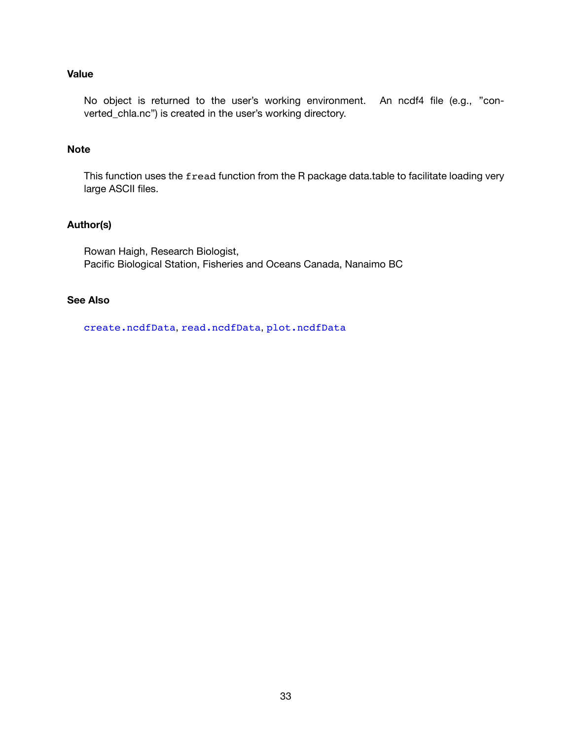### **Value**

No object is returned to the user's working environment. An ncdf4 file (e.g., "converted\_chla.nc") is created in the user's working directory.

#### **Note**

This function uses the fread function from the R package data.table to facilitate loading very large ASCII files.

#### **Author(s)**

Rowan Haigh, Research Biologist, Pacific Biological Station, Fisheries and Oceans Canada, Nanaimo BC

### **See Also**

[create.ncdfData](#page-36-1), [read.ncdfData](#page-49-1), [plot.ncdfData](#page-46-1)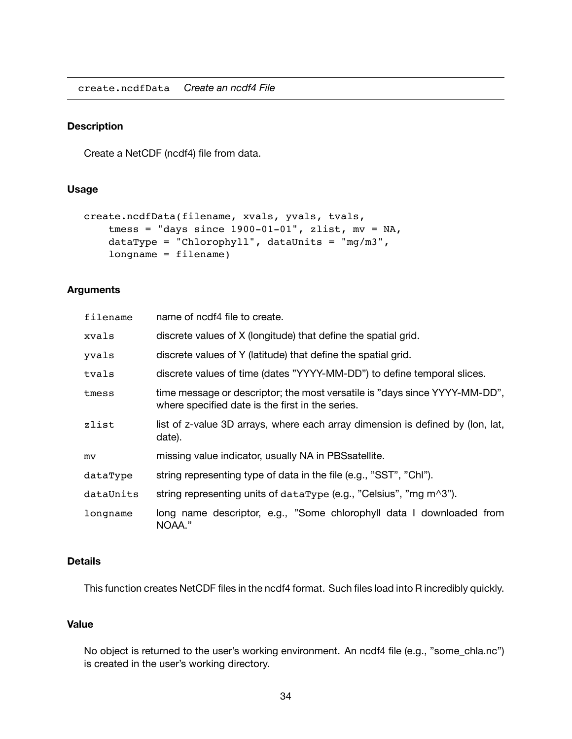<span id="page-36-1"></span><span id="page-36-0"></span>create.ncdfData *Create an ncdf4 File*

#### **Description**

Create a NetCDF (ncdf4) file from data.

#### **Usage**

```
create.ncdfData(filename, xvals, yvals, tvals,
    tmess = "days since 1900-01-01", zlist, mv = NA,
    dataType = "Chlorophyll", data Units = "mg/m3",longname = filename)
```
#### **Arguments**

| filename  | name of ncdf4 file to create.                                                                                                  |
|-----------|--------------------------------------------------------------------------------------------------------------------------------|
| xvals     | discrete values of X (longitude) that define the spatial grid.                                                                 |
| yvals     | discrete values of Y (latitude) that define the spatial grid.                                                                  |
| tvals     | discrete values of time (dates "YYYY-MM-DD") to define temporal slices.                                                        |
| tmess     | time message or descriptor; the most versatile is "days since YYYY-MM-DD",<br>where specified date is the first in the series. |
| zlist     | list of z-value 3D arrays, where each array dimension is defined by (lon, lat,<br>date).                                       |
| mv        | missing value indicator, usually NA in PBS satellite.                                                                          |
| dataType  | string representing type of data in the file (e.g., "SST", "Chl").                                                             |
| dataUnits | string representing units of dataType (e.g., "Celsius", "mg m^3").                                                             |
| longname  | long name descriptor, e.g., "Some chlorophyll data I downloaded from<br>NOAA."                                                 |

#### **Details**

This function creates NetCDF files in the ncdf4 format. Such files load into R incredibly quickly.

#### **Value**

No object is returned to the user's working environment. An ncdf4 file (e.g., "some\_chla.nc") is created in the user's working directory.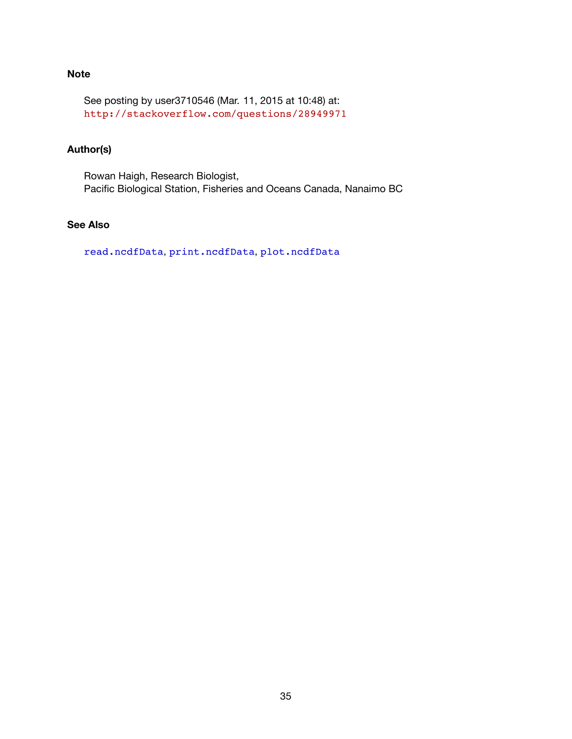### **Note**

See posting by user3710546 (Mar. 11, 2015 at 10:48) at: <http://stackoverflow.com/questions/28949971>

# **Author(s)**

Rowan Haigh, Research Biologist, Pacific Biological Station, Fisheries and Oceans Canada, Nanaimo BC

# **See Also**

[read.ncdfData](#page-49-1), [print.ncdfData](#page-48-1), [plot.ncdfData](#page-46-1)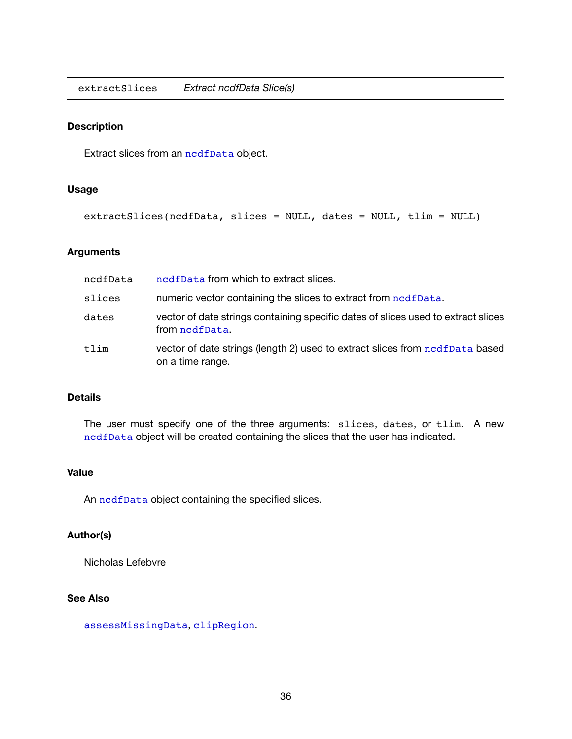<span id="page-38-1"></span><span id="page-38-0"></span>extractSlices *Extract ncdfData Slice(s)*

#### **Description**

Extract slices from an [ncdfData](#page-45-1) object.

#### **Usage**

extractSlices(ncdfData, slices = NULL, dates = NULL, tlim = NULL)

#### **Arguments**

| ncdfData | ncdfData from which to extract slices.                                                              |
|----------|-----------------------------------------------------------------------------------------------------|
| slices   | numeric vector containing the slices to extract from ncdfData.                                      |
| dates    | vector of date strings containing specific dates of slices used to extract slices<br>from nodfData. |
| tlim     | vector of date strings (length 2) used to extract slices from nodfData based<br>on a time range.    |

#### **Details**

The user must specify one of the three arguments: slices, dates, or tlim. A new [ncdfData](#page-45-1) object will be created containing the slices that the user has indicated.

#### **Value**

An nedfData object containing the specified slices.

### **Author(s)**

Nicholas Lefebvre

### **See Also**

[assessMissingData](#page-30-1), [clipRegion](#page-32-1).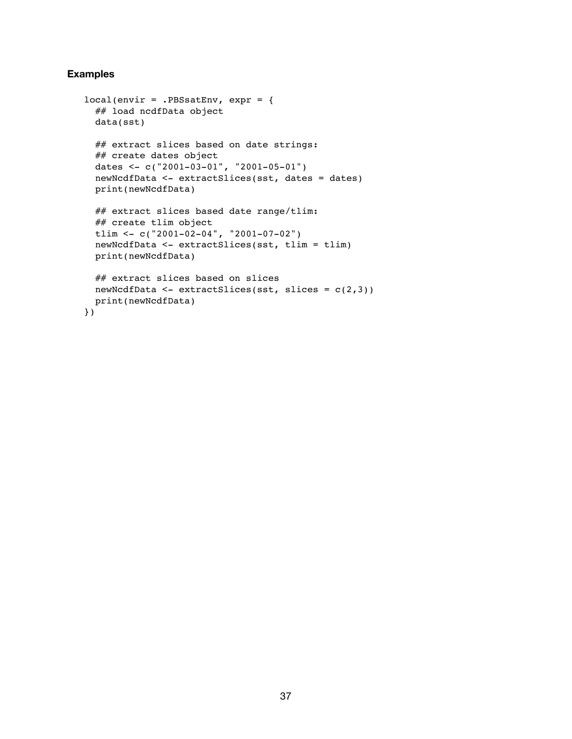#### **Examples**

```
local(envir = .PBSsatEnv, expr = {
 ## load ncdfData object
 data(sst)
 ## extract slices based on date strings:
 ## create dates object
 dates <- c("2001-03-01", "2001-05-01")
 newNcdfData <- extractSlices(sst, dates = dates)
 print(newNcdfData)
 ## extract slices based date range/tlim:
 ## create tlim object
 tlim \leq c("2001-02-04", "2001-07-02")
 newNcdfData <- extractSlices(sst, tlim = tlim)
 print(newNcdfData)
 ## extract slices based on slices
 newNcdfData <- extractSlices(sst, slices = c(2,3))
 print(newNcdfData)
})
```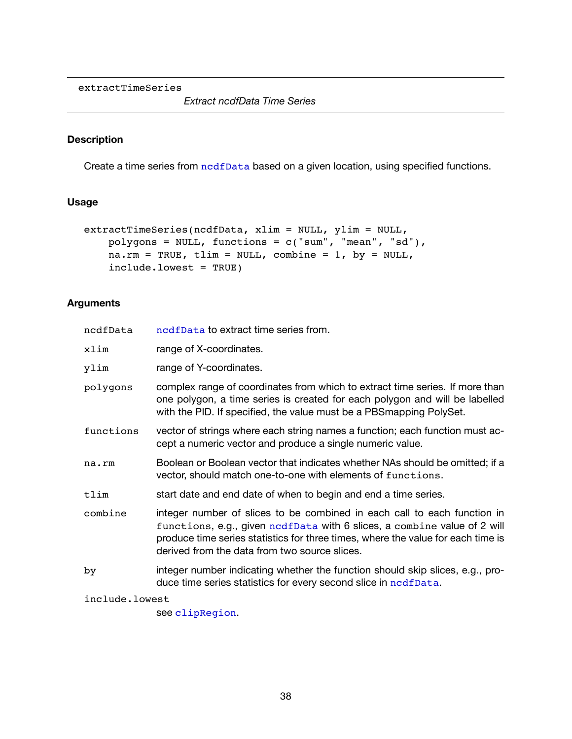<span id="page-40-1"></span><span id="page-40-0"></span>extractTimeSeries

*Extract ncdfData Time Series*

#### **Description**

Create a time series from [ncdfData](#page-45-1) based on a given location, using specified functions.

#### **Usage**

```
extractTimeSeries(ncdfData, xlim = NULL, ylim = NULL,
   polygons = NULL, functions = c("sum", "mean", "sd"),
   na.rm = TRUE, tlim = NULL, combine = 1, by = NULL,
    include.lowest = TRUE)
```
### **Arguments**

| ncdfData       | ncdfData to extract time series from.                                                                                                                                                                                                                                                     |  |
|----------------|-------------------------------------------------------------------------------------------------------------------------------------------------------------------------------------------------------------------------------------------------------------------------------------------|--|
| xlim           | range of X-coordinates.                                                                                                                                                                                                                                                                   |  |
| ylim           | range of Y-coordinates.                                                                                                                                                                                                                                                                   |  |
| polygons       | complex range of coordinates from which to extract time series. If more than<br>one polygon, a time series is created for each polygon and will be labelled<br>with the PID. If specified, the value must be a PBS mapping PolySet.                                                       |  |
| functions      | vector of strings where each string names a function; each function must ac-<br>cept a numeric vector and produce a single numeric value.                                                                                                                                                 |  |
| na.rm          | Boolean or Boolean vector that indicates whether NAs should be omitted; if a<br>vector, should match one-to-one with elements of functions.                                                                                                                                               |  |
| tlim           | start date and end date of when to begin and end a time series.                                                                                                                                                                                                                           |  |
| combine        | integer number of slices to be combined in each call to each function in<br>functions, e.g., given nodfData with 6 slices, a combine value of 2 will<br>produce time series statistics for three times, where the value for each time is<br>derived from the data from two source slices. |  |
| by             | integer number indicating whether the function should skip slices, e.g., pro-<br>duce time series statistics for every second slice in ncdfData.                                                                                                                                          |  |
| include.lowest |                                                                                                                                                                                                                                                                                           |  |

see [clipRegion](#page-32-1).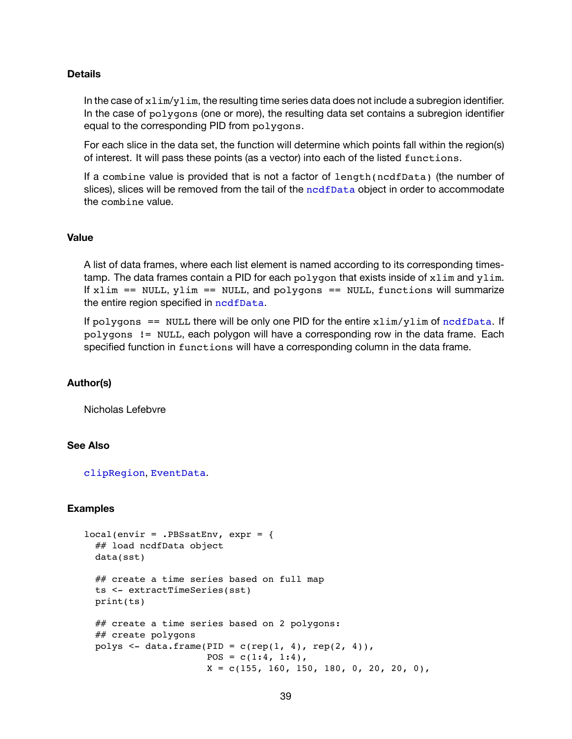#### **Details**

In the case of  $xlim/ylim$ , the resulting time series data does not include a subregion identifier. In the case of polygons (one or more), the resulting data set contains a subregion identifier equal to the corresponding PID from polygons.

For each slice in the data set, the function will determine which points fall within the region(s) of interest. It will pass these points (as a vector) into each of the listed functions.

If a combine value is provided that is not a factor of length(ncdfData) (the number of slices), slices will be removed from the tail of the [ncdfData](#page-45-1) object in order to accommodate the combine value.

#### **Value**

A list of data frames, where each list element is named according to its corresponding timestamp. The data frames contain a PID for each  $polygon$  that exists inside of  $xlim$  and  $ylim$ . If  $xlim == NULL, ylim == NULL, and polygons == NULL, function s will summarize$ the entire region specified in [ncdfData](#page-45-1).

If polygons == NULL there will be only one PID for the entire  $xlim/ylim$  of [ncdfData](#page-45-1). If polygons != NULL, each polygon will have a corresponding row in the data frame. Each specified function in functions will have a corresponding column in the data frame.

#### **Author(s)**

Nicholas Lefebvre

#### **See Also**

[clipRegion](#page-32-1), EventData.

#### **Examples**

```
local(envir = .PBSsatEnv, expr = {
 ## load ncdfData object
 data(sst)
 ## create a time series based on full map
 ts <- extractTimeSeries(sst)
 print(ts)
 ## create a time series based on 2 polygons:
 ## create polygons
 polys <- data.frame(PID = c(rep(1, 4), rep(2, 4)),POS = c(1:4, 1:4),X = c(155, 160, 150, 180, 0, 20, 20, 0)
```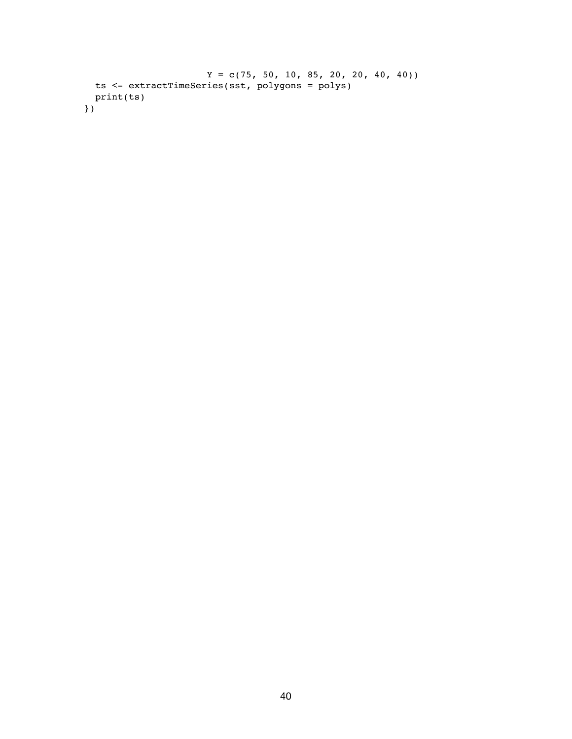```
Y = c(75, 50, 10, 85, 20, 20, 40, 40)ts <- extractTimeSeries(sst, polygons = polys)
 print(ts)
})
```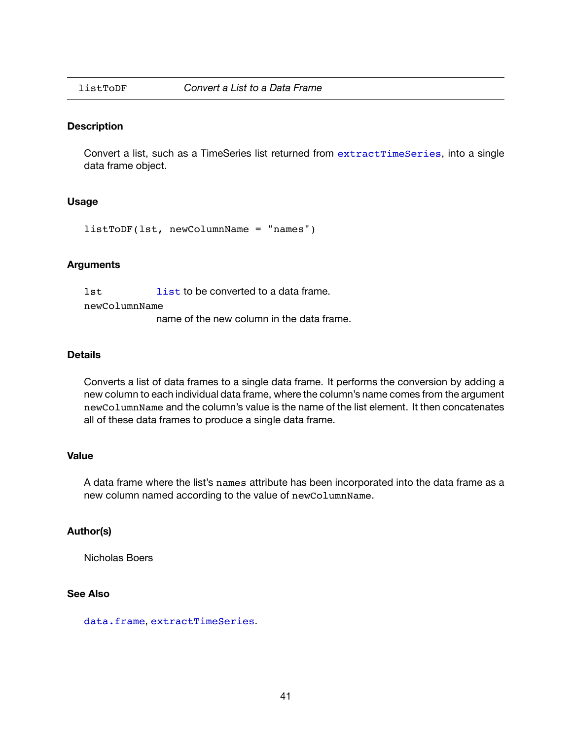<span id="page-43-1"></span><span id="page-43-0"></span>

#### **Description**

Convert a list, such as a TimeSeries list returned from [extractTimeSeries](#page-40-1), into a single data frame object.

#### **Usage**

listToDF(lst, newColumnName = "names")

#### **Arguments**

lst list to be converted to a data frame.

newColumnName

name of the new column in the data frame.

#### **Details**

Converts a list of data frames to a single data frame. It performs the conversion by adding a new column to each individual data frame, where the column's name comes from the argument newColumnName and the column's value is the name of the list element. It then concatenates all of these data frames to produce a single data frame.

#### **Value**

A data frame where the list's names attribute has been incorporated into the data frame as a new column named according to the value of newColumnName.

#### **Author(s)**

Nicholas Boers

#### **See Also**

data.frame, [extractTimeSeries](#page-40-1).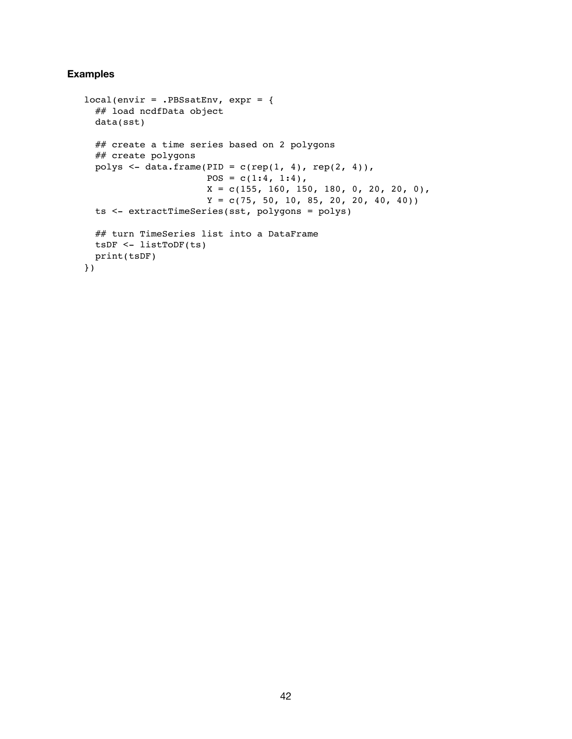#### **Examples**

```
local(envir = .PBSsatEnv, expr = {
 ## load ncdfData object
 data(sst)
 ## create a time series based on 2 polygons
 ## create polygons
 polys <- data.frame(PID = c(rep(1, 4), rep(2, 4)),
                     POS = c(1:4, 1:4),X = c(155, 160, 150, 180, 0, 20, 20, 0)Y = c(75, 50, 10, 85, 20, 20, 40, 40)ts <- extractTimeSeries(sst, polygons = polys)
 ## turn TimeSeries list into a DataFrame
 tsDF <- listToDF(ts)
 print(tsDF)
})
```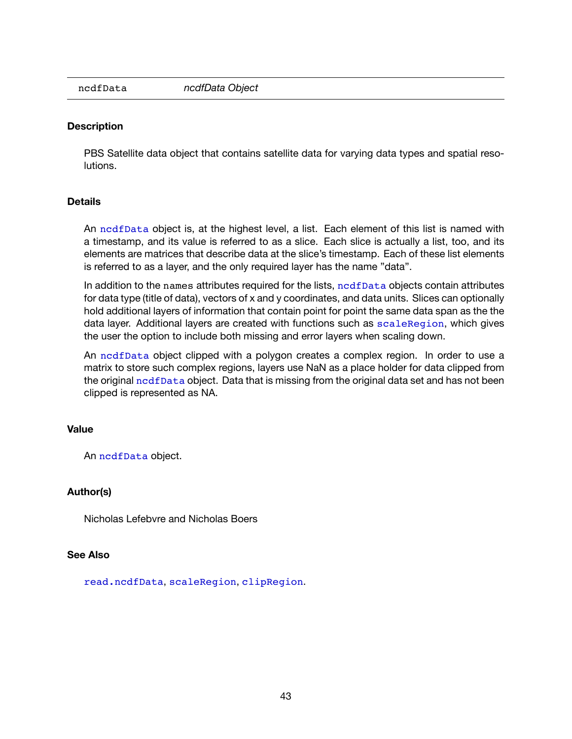<span id="page-45-1"></span><span id="page-45-0"></span>

#### **Description**

PBS Satellite data object that contains satellite data for varying data types and spatial resolutions.

#### **Details**

An [ncdfData](#page-45-1) object is, at the highest level, a list. Each element of this list is named with a timestamp, and its value is referred to as a slice. Each slice is actually a list, too, and its elements are matrices that describe data at the slice's timestamp. Each of these list elements is referred to as a layer, and the only required layer has the name "data".

In addition to the names attributes required for the lists, nod f Data objects contain attributes for data type (title of data), vectors of x and y coordinates, and data units. Slices can optionally hold additional layers of information that contain point for point the same data span as the the data layer. Additional layers are created with functions such as [scaleRegion](#page-53-1), which gives the user the option to include both missing and error layers when scaling down.

An [ncdfData](#page-45-1) object clipped with a polygon creates a complex region. In order to use a matrix to store such complex regions, layers use NaN as a place holder for data clipped from the original [ncdfData](#page-45-1) object. Data that is missing from the original data set and has not been clipped is represented as NA.

#### **Value**

An [ncdfData](#page-45-1) object.

#### **Author(s)**

Nicholas Lefebvre and Nicholas Boers

#### **See Also**

[read.ncdfData](#page-49-1), [scaleRegion](#page-53-1), [clipRegion](#page-32-1).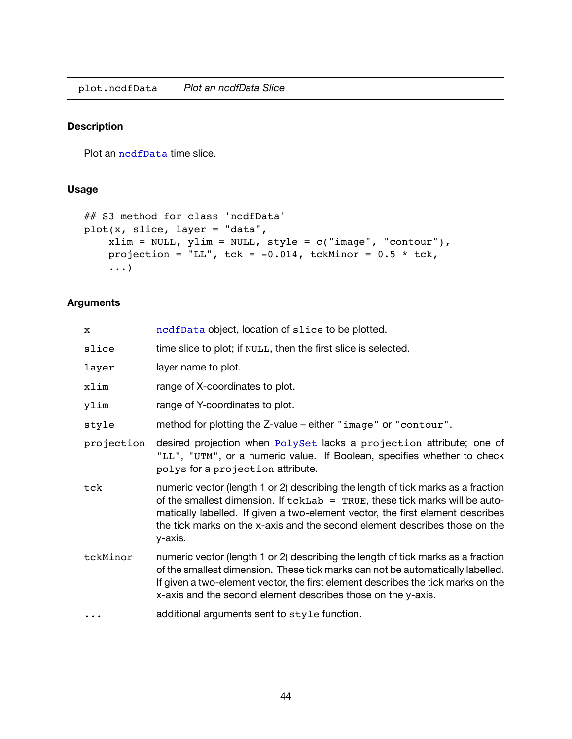<span id="page-46-1"></span><span id="page-46-0"></span>plot.ncdfData *Plot an ncdfData Slice*

# **Description**

Plot an [ncdfData](#page-45-1) time slice.

#### **Usage**

```
## S3 method for class 'ncdfData'
plot(x, slice, layer = "data",
    xlim = NULL, ylim = NULL, style = c("image", "contour"),projection = "LL", tck = -0.014, tckMinor = 0.5 * tck,
    ...)
```
#### **Arguments**

| x          | ncdfData object, location of slice to be plotted.                                                                                                                                                                                                                                                                                             |
|------------|-----------------------------------------------------------------------------------------------------------------------------------------------------------------------------------------------------------------------------------------------------------------------------------------------------------------------------------------------|
| slice      | time slice to plot; if NULL, then the first slice is selected.                                                                                                                                                                                                                                                                                |
| layer      | layer name to plot.                                                                                                                                                                                                                                                                                                                           |
| xlim       | range of X-coordinates to plot.                                                                                                                                                                                                                                                                                                               |
| ylim       | range of Y-coordinates to plot.                                                                                                                                                                                                                                                                                                               |
| style      | method for plotting the Z-value – either "image" or "contour".                                                                                                                                                                                                                                                                                |
| projection | desired projection when PolySet lacks a projection attribute; one of<br>"LL", "UTM", or a numeric value. If Boolean, specifies whether to check<br>polys for a projection attribute.                                                                                                                                                          |
| tck        | numeric vector (length 1 or 2) describing the length of tick marks as a fraction<br>of the smallest dimension. If $tckLab = TRUE$ , these tick marks will be auto-<br>matically labelled. If given a two-element vector, the first element describes<br>the tick marks on the x-axis and the second element describes those on the<br>y-axis. |
| tckMinor   | numeric vector (length 1 or 2) describing the length of tick marks as a fraction<br>of the smallest dimension. These tick marks can not be automatically labelled.<br>If given a two-element vector, the first element describes the tick marks on the<br>x-axis and the second element describes those on the y-axis.                        |
|            | additional arguments sent to style function.                                                                                                                                                                                                                                                                                                  |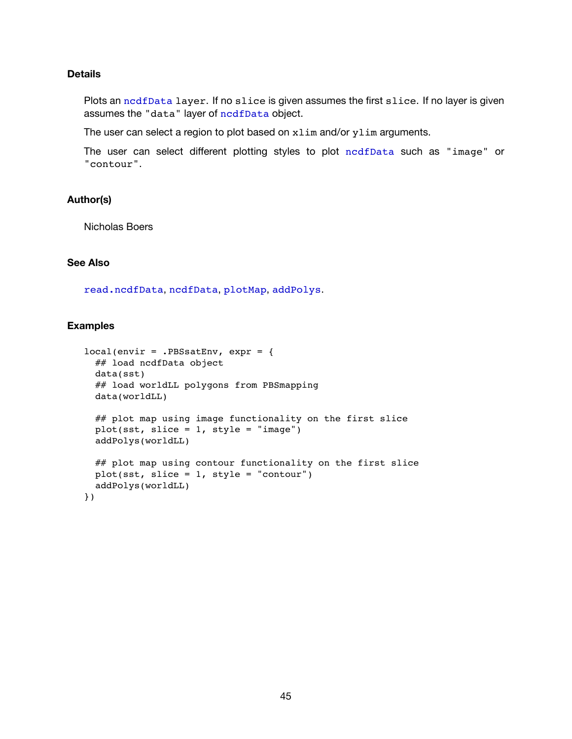#### **Details**

Plots an [ncdfData](#page-45-1) layer. If no slice is given assumes the first slice. If no layer is given assumes the "data" layer of [ncdfData](#page-45-1) object.

The user can select a region to plot based on xlim and/or ylim arguments.

The user can select different plotting styles to plot [ncdfData](#page-45-1) such as "image" or "contour".

#### **Author(s)**

Nicholas Boers

#### **See Also**

[read.ncdfData](#page-49-1), [ncdfData](#page-45-1), plotMap, addPolys.

#### **Examples**

```
local(envir = .PBSsatEnv, expr = {
 ## load ncdfData object
 data(sst)
 ## load worldLL polygons from PBSmapping
 data(worldLL)
 ## plot map using image functionality on the first slice
 plot(sst, slice = 1, style = "image")
 addPolys(worldLL)
 ## plot map using contour functionality on the first slice
 plot(sst, slice = 1, style = "contour")
 addPolys(worldLL)
})
```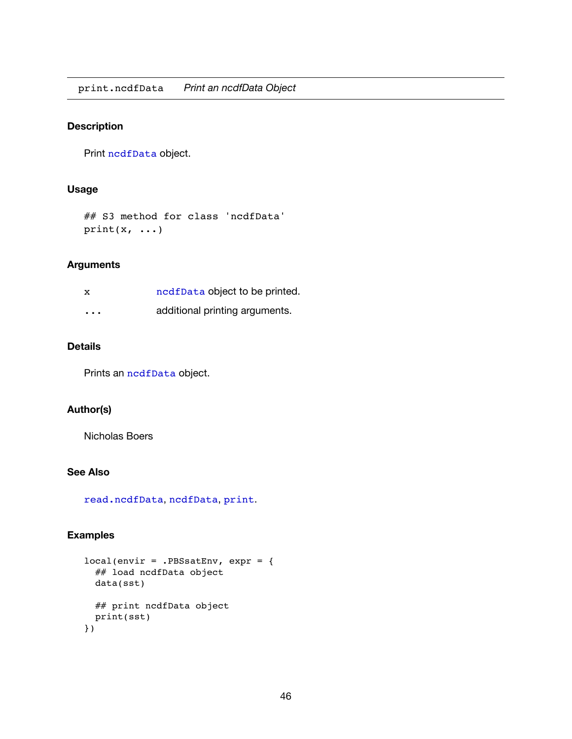<span id="page-48-1"></span><span id="page-48-0"></span>print.ncdfData *Print an ncdfData Object*

#### **Description**

Print [ncdfData](#page-45-1) object.

#### **Usage**

```
## S3 method for class 'ncdfData'
print(x, \ldots)
```
#### **Arguments**

| x        | ncdfData object to be printed. |
|----------|--------------------------------|
| $\cdots$ | additional printing arguments. |

#### **Details**

Prints an [ncdfData](#page-45-1) object.

#### **Author(s)**

Nicholas Boers

#### **See Also**

[read.ncdfData](#page-49-1), [ncdfData](#page-45-1), print.

#### **Examples**

```
local(envir = .PBSsatEnv, expr = {
 ## load ncdfData object
 data(sst)
 ## print ncdfData object
 print(sst)
})
```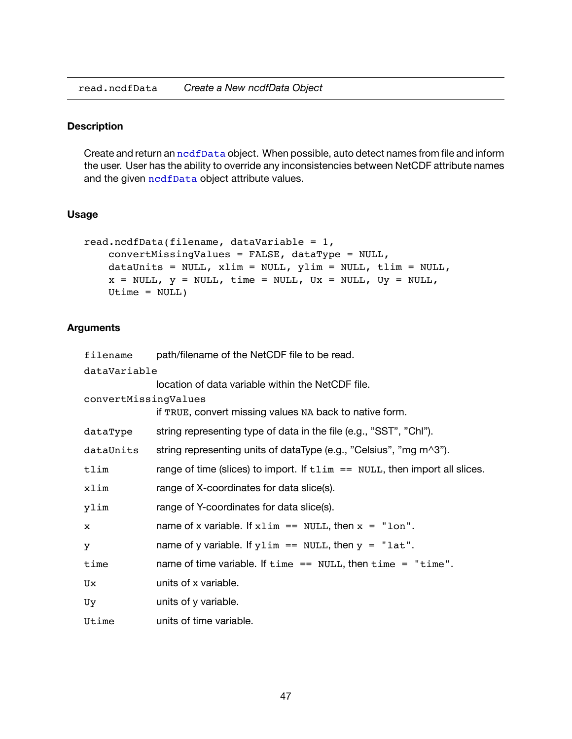<span id="page-49-1"></span><span id="page-49-0"></span>read.ncdfData *Create a New ncdfData Object*

#### **Description**

Create and return an nodfData object. When possible, auto detect names from file and inform the user. User has the ability to override any inconsistencies between NetCDF attribute names and the given [ncdfData](#page-45-1) object attribute values.

#### **Usage**

```
read.ncdfData(filename, dataVariable = 1,
   convertMissingValues = FALSE, dataType = NULL,
   dataUnits = NULL, xlim = NULL, ylim = NULL, tlim = NULL,
    x = NULL, y = NULL, time = NULL, Ux = NULL, Uy = NULL,
    Utime = NULL)
```
#### **Arguments**

| filename             | path/filename of the NetCDF file to be read.                                           |  |  |  |
|----------------------|----------------------------------------------------------------------------------------|--|--|--|
| dataVariable         |                                                                                        |  |  |  |
|                      | location of data variable within the NetCDF file.                                      |  |  |  |
| convertMissingValues |                                                                                        |  |  |  |
|                      | if TRUE, convert missing values NA back to native form.                                |  |  |  |
| dataType             | string representing type of data in the file (e.g., "SST", "Chl").                     |  |  |  |
| dataUnits            | string representing units of dataType (e.g., "Celsius", "mg m^3").                     |  |  |  |
| tlim                 | range of time (slices) to import. If $t \lim == \text{NULL}$ , then import all slices. |  |  |  |
| xlim                 | range of X-coordinates for data slice(s).                                              |  |  |  |
| ylim                 | range of Y-coordinates for data slice(s).                                              |  |  |  |
| x                    | name of x variable. If $x \lim == \text{NULL}$ , then $x = "lon".$                     |  |  |  |
| y                    | name of y variable. If $y \lim == \text{NULL}$ , then $y = "lat".$                     |  |  |  |
| time                 | name of time variable. If $time == NULL$ , then $time = "time".$                       |  |  |  |
| Ux                   | units of x variable.                                                                   |  |  |  |
| Uy                   | units of y variable.                                                                   |  |  |  |
| Utime                | units of time variable.                                                                |  |  |  |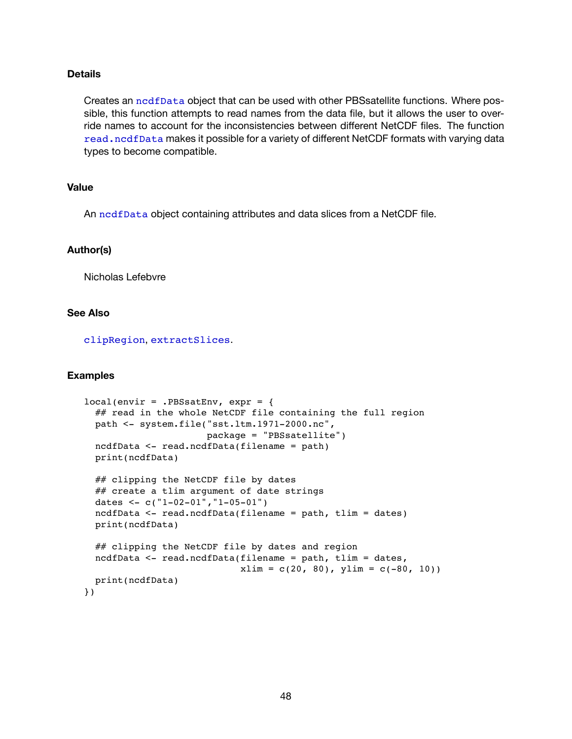#### **Details**

Creates an [ncdfData](#page-45-1) object that can be used with other PBSsatellite functions. Where possible, this function attempts to read names from the data file, but it allows the user to override names to account for the inconsistencies between different NetCDF files. The function [read.ncdfData](#page-49-1) makes it possible for a variety of different NetCDF formats with varying data types to become compatible.

#### **Value**

An [ncdfData](#page-45-1) object containing attributes and data slices from a NetCDF file.

#### **Author(s)**

Nicholas Lefebvre

#### **See Also**

[clipRegion](#page-32-1), [extractSlices](#page-38-1).

#### **Examples**

```
local(envir = .PBSsatEnv, expr = {
 ## read in the whole NetCDF file containing the full region
 path <- system.file("sst.ltm.1971-2000.nc",
                      package = "PBSsatellite")
 ncdfData <- read.ncdfData(filename = path)
 print(ncdfData)
 ## clipping the NetCDF file by dates
 ## create a tlim argument of date strings
 dates <- c("1-02-01","1-05-01")
 ncdfData <- read.ncdfData(filename = path, tlim = dates)
 print(ncdfData)
 ## clipping the NetCDF file by dates and region
 ncdfData <- read.ncdfData(filename = path, tlim = dates,
                            xlim = c(20, 80), ylim = c(-80, 10)print(ncdfData)
})
```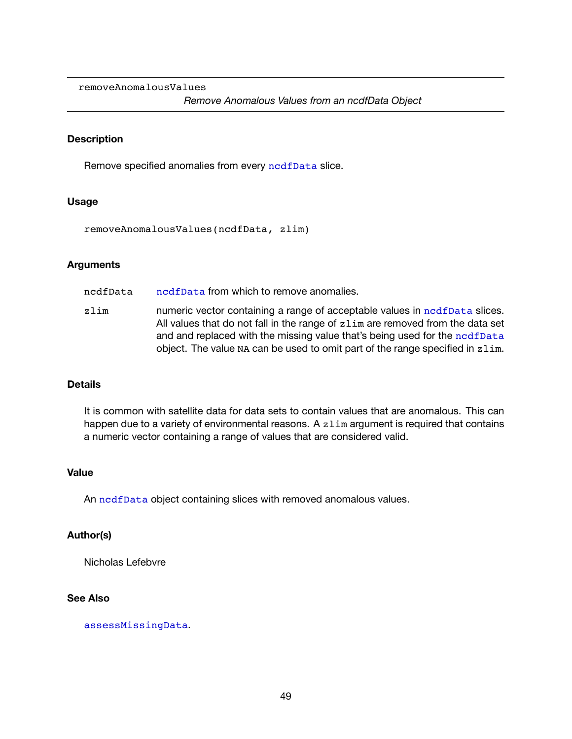<span id="page-51-0"></span>removeAnomalousValues

#### **Description**

Remove specified anomalies from every [ncdfData](#page-45-1) slice.

#### **Usage**

removeAnomalousValues(ncdfData, zlim)

#### **Arguments**

- ncdfData [ncdfData](#page-45-1) from which to remove anomalies.
- zlim numeric vector containing a range of acceptable values in [ncdfData](#page-45-1) slices. All values that do not fall in the range of zlim are removed from the data set and and replaced with the missing value that's being used for the [ncdfData](#page-45-1) object. The value NA can be used to omit part of the range specified in zlim.

#### **Details**

It is common with satellite data for data sets to contain values that are anomalous. This can happen due to a variety of environmental reasons. A zlim argument is required that contains a numeric vector containing a range of values that are considered valid.

#### **Value**

An nedfData object containing slices with removed anomalous values.

#### **Author(s)**

Nicholas Lefebvre

#### **See Also**

[assessMissingData](#page-30-1).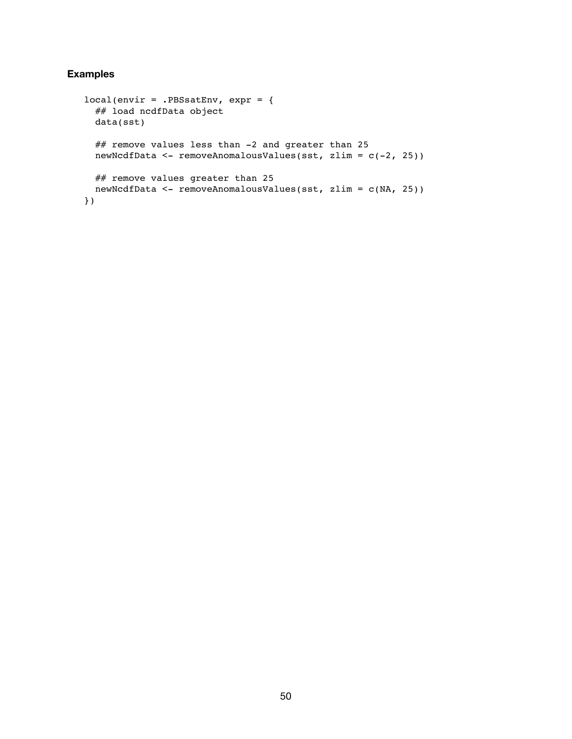### **Examples**

```
local(envir = .PBSsatEnv, expr = {
 ## load ncdfData object
 data(sst)
 ## remove values less than -2 and greater than 25
 newNcdfData <- removeAnomalousValues(sst, zlim = c(-2, 25))
 ## remove values greater than 25
 newNcdfData <- removeAnomalousValues(sst, zlim = c(NA, 25))
})
```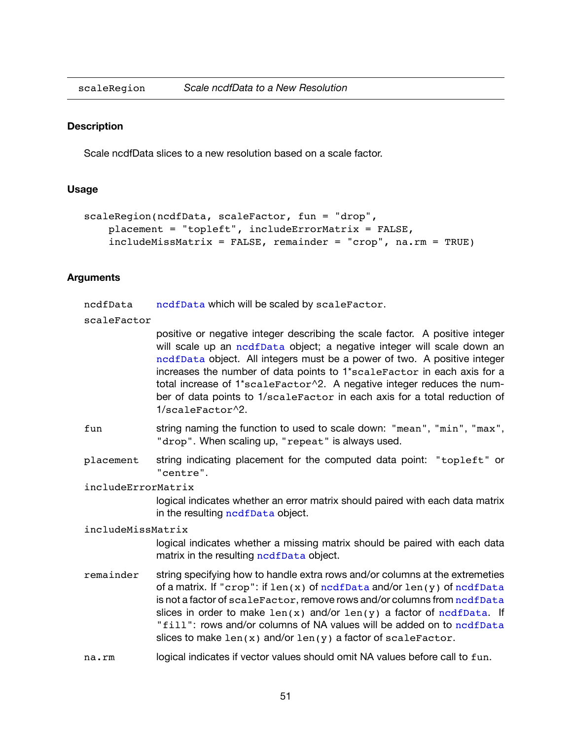<span id="page-53-1"></span><span id="page-53-0"></span>

#### **Description**

Scale ncdfData slices to a new resolution based on a scale factor.

#### **Usage**

```
scaleRegion(ncdfData, scaleFactor, fun = "drop",
   placement = "topleft", includeErrorMatrix = FALSE,
   include M = FALSE, remainder = "crop", na.rm = TRUE
```
#### **Arguments**

[ncdfData](#page-45-1) ncdfData which will be scaled by scaleFactor.

#### scaleFactor

positive or negative integer describing the scale factor. A positive integer will scale up an [ncdfData](#page-45-1) object; a negative integer will scale down an [ncdfData](#page-45-1) object. All integers must be a power of two. A positive integer increases the number of data points to 1\*scaleFactor in each axis for a total increase of 1\*scaleFactor^2. A negative integer reduces the number of data points to 1/scaleFactor in each axis for a total reduction of 1/scaleFactor^2.

- fun string naming the function to used to scale down: "mean", "min", "max", "drop". When scaling up, "repeat" is always used.
- placement string indicating placement for the computed data point: "topleft" or "centre".

#### includeErrorMatrix

logical indicates whether an error matrix should paired with each data matrix in the resulting nedfData object.

#### includeMissMatrix

logical indicates whether a missing matrix should be paired with each data matrix in the resulting [ncdfData](#page-45-1) object.

- remainder string specifying how to handle extra rows and/or columns at the extremeties of a matrix. If "crop": if  $len(x)$  of [ncdfData](#page-45-1) and/or  $len(y)$  of ncdfData is not a factor of scaleFactor, remove rows and/or columns from [ncdfData](#page-45-1) slices in order to make  $len(x)$  and/or  $len(y)$  a factor of [ncdfData](#page-45-1). If "fill": rows and/or columns of NA values will be added on to [ncdfData](#page-45-1) slices to make  $len(x)$  and/or  $len(y)$  a factor of scaleFactor.
- na.rm logical indicates if vector values should omit NA values before call to fun.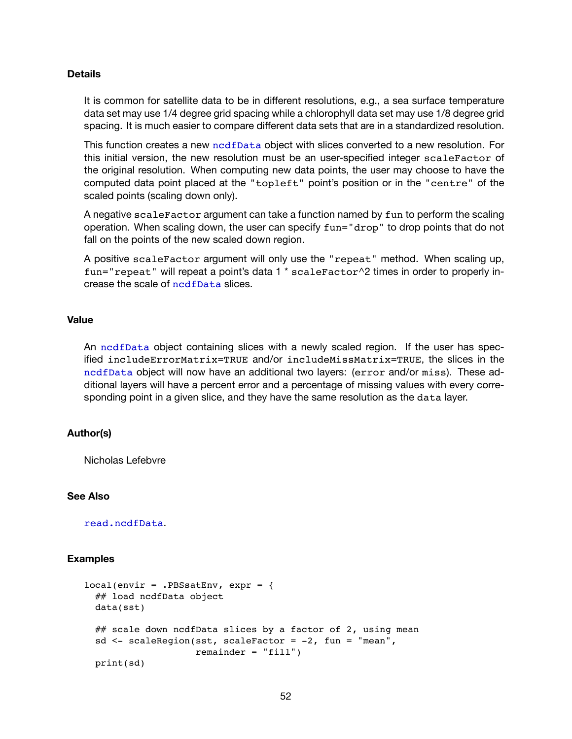#### **Details**

It is common for satellite data to be in different resolutions, e.g., a sea surface temperature data set may use 1/4 degree grid spacing while a chlorophyll data set may use 1/8 degree grid spacing. It is much easier to compare different data sets that are in a standardized resolution.

This function creates a new [ncdfData](#page-45-1) object with slices converted to a new resolution. For this initial version, the new resolution must be an user-specified integer scaleFactor of the original resolution. When computing new data points, the user may choose to have the computed data point placed at the "topleft" point's position or in the "centre" of the scaled points (scaling down only).

A negative scaleFactor argument can take a function named by fun to perform the scaling operation. When scaling down, the user can specify fun="drop" to drop points that do not fall on the points of the new scaled down region.

A positive scaleFactor argument will only use the "repeat" method. When scaling up, fun="repeat" will repeat a point's data 1 \* scaleFactor^2 times in order to properly increase the scale of [ncdfData](#page-45-1) slices.

#### **Value**

An [ncdfData](#page-45-1) object containing slices with a newly scaled region. If the user has specified includeErrorMatrix=TRUE and/or includeMissMatrix=TRUE, the slices in the [ncdfData](#page-45-1) object will now have an additional two layers: (error and/or miss). These additional layers will have a percent error and a percentage of missing values with every corresponding point in a given slice, and they have the same resolution as the data layer.

#### **Author(s)**

Nicholas Lefebvre

#### **See Also**

[read.ncdfData](#page-49-1).

#### **Examples**

```
local(envir = .PBSsatEnv, expr = {
 ## load ncdfData object
 data(sst)
 ## scale down ncdfData slices by a factor of 2, using mean
 sd <- scaleRegion(sst, scaleFactor = -2, fun = "mean",
                   remainder = "fill")print(sd)
```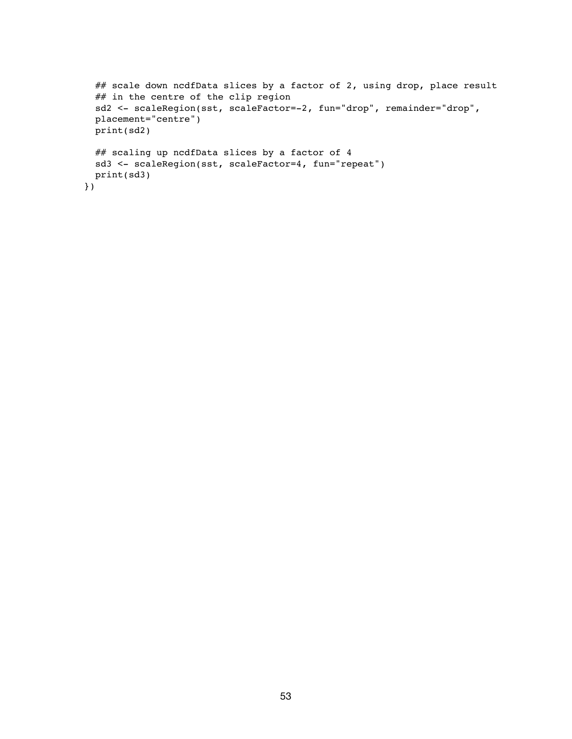```
## scale down ncdfData slices by a factor of 2, using drop, place result
 ## in the centre of the clip region
 sd2 <- scaleRegion(sst, scaleFactor=-2, fun="drop", remainder="drop",
 placement="centre")
 print(sd2)
 ## scaling up ncdfData slices by a factor of 4
 sd3 <- scaleRegion(sst, scaleFactor=4, fun="repeat")
 print(sd3)
})
```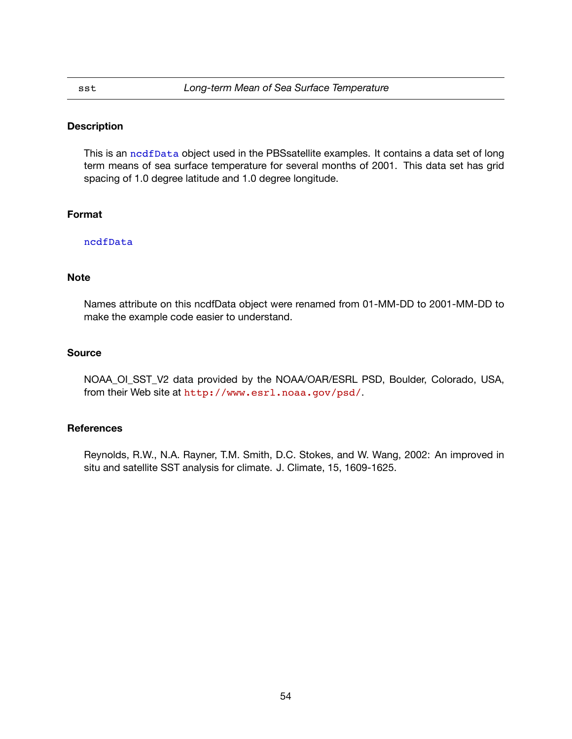#### **Description**

This is an [ncdfData](#page-45-1) object used in the PBSsatellite examples. It contains a data set of long term means of sea surface temperature for several months of 2001. This data set has grid spacing of 1.0 degree latitude and 1.0 degree longitude.

#### **Format**

#### [ncdfData](#page-45-1)

#### **Note**

Names attribute on this ncdfData object were renamed from 01-MM-DD to 2001-MM-DD to make the example code easier to understand.

#### **Source**

NOAA\_OI\_SST\_V2 data provided by the NOAA/OAR/ESRL PSD, Boulder, Colorado, USA, from their Web site at <http://www.esrl.noaa.gov/psd/>.

#### **References**

Reynolds, R.W., N.A. Rayner, T.M. Smith, D.C. Stokes, and W. Wang, 2002: An improved in situ and satellite SST analysis for climate. J. Climate, 15, 1609-1625.

<span id="page-56-1"></span><span id="page-56-0"></span>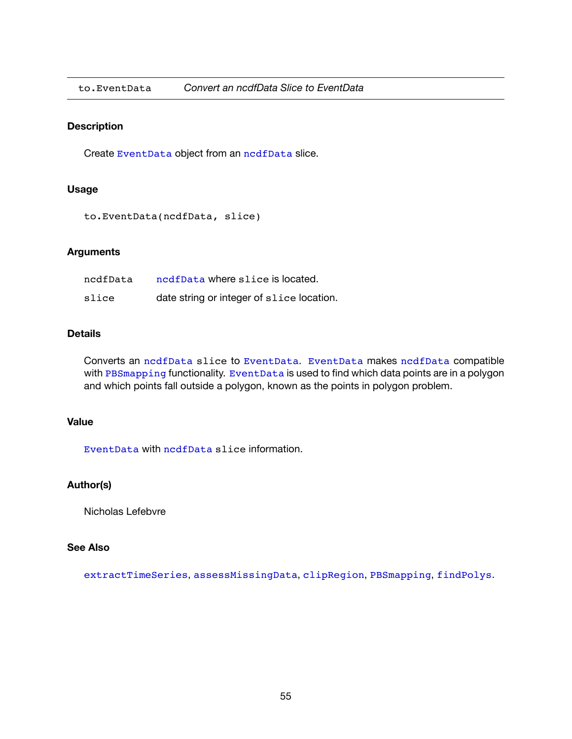<span id="page-57-0"></span>

#### **Description**

Create EventData object from an [ncdfData](#page-45-1) slice.

#### **Usage**

to.EventData(ncdfData, slice)

#### **Arguments**

| ncdfData | ncdfData where slice is located.          |
|----------|-------------------------------------------|
| slice    | date string or integer of slice location. |

#### **Details**

Converts an [ncdfData](#page-45-1) slice to EventData. EventData makes [ncdfData](#page-45-1) compatible with PBSmapping functionality. EventData is used to find which data points are in a polygon and which points fall outside a polygon, known as the points in polygon problem.

### **Value**

EventData with [ncdfData](#page-45-1) slice information.

#### **Author(s)**

Nicholas Lefebvre

#### **See Also**

[extractTimeSeries](#page-40-1), [assessMissingData](#page-30-1), [clipRegion](#page-32-1), PBSmapping, findPolys.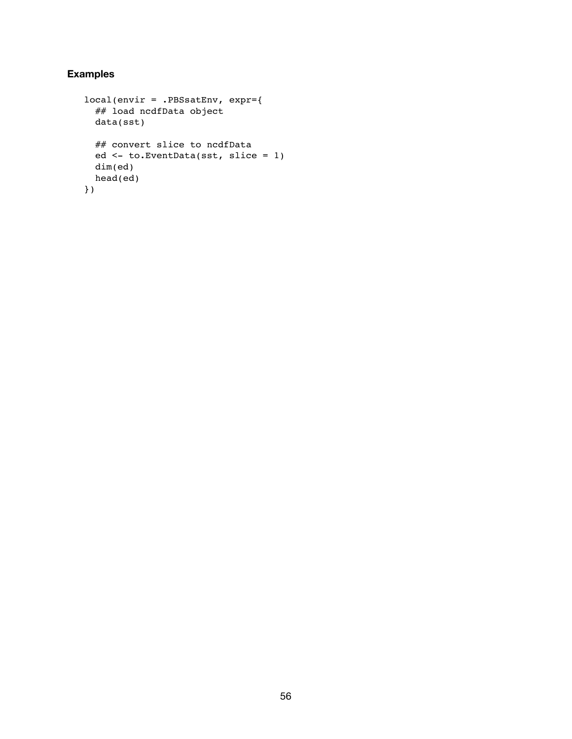# **Examples**

```
local(envir = .PBSsatEnv, expr={
 ## load ncdfData object
 data(sst)
 ## convert slice to ncdfData
 ed <- to.EventData(sst, slice = 1)
 dim(ed)
 head(ed)
})
```